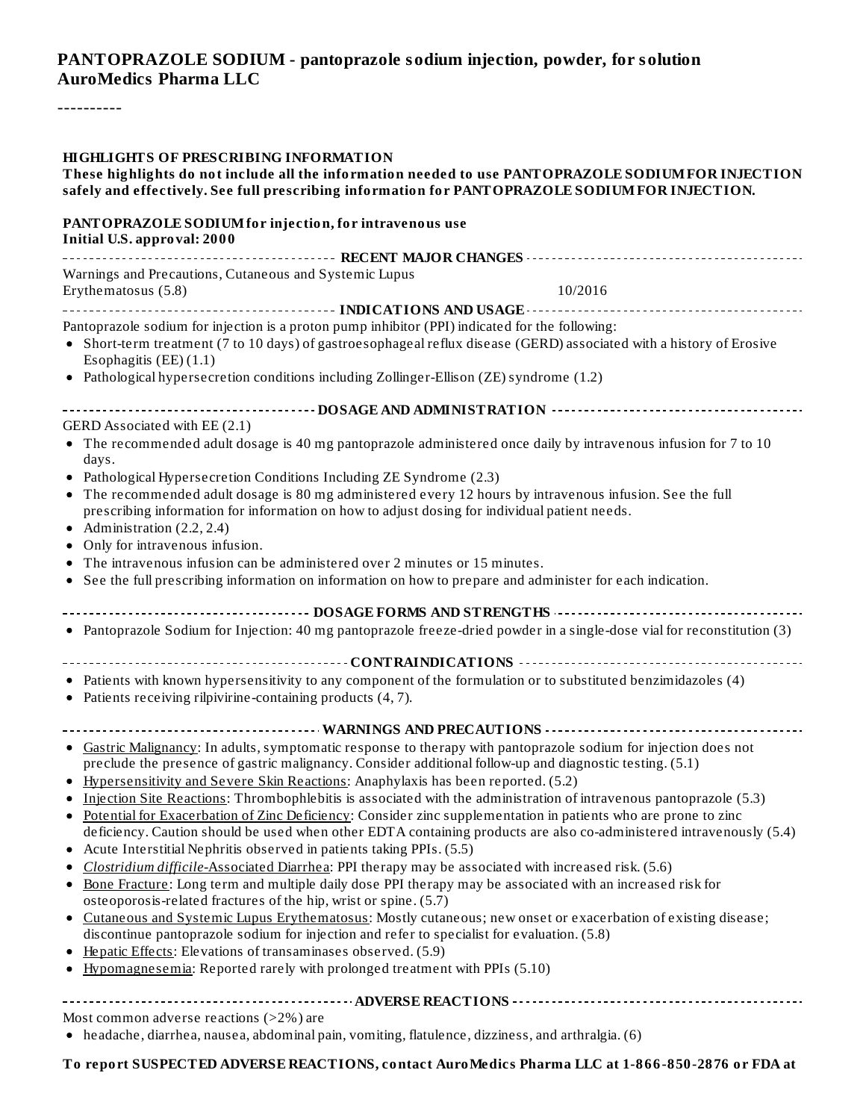### **PANTOPRAZOLE SODIUM - pantoprazole sodium injection, powder, for solution AuroMedics Pharma LLC**

----------

| <b>HIGHLIGHTS OF PRESCRIBING INFORMATION</b><br>These highlights do not include all the information needed to use PANTOPRAZOLE SODIUM FOR INJECTION<br>safely and effectively. See full prescribing information for PANTOPRAZOLE SODIUM FOR INJECTION. |  |  |  |
|--------------------------------------------------------------------------------------------------------------------------------------------------------------------------------------------------------------------------------------------------------|--|--|--|
| PANTOPRAZOLE SODIUM for injection, for intravenous use<br>Initial U.S. approval: 2000                                                                                                                                                                  |  |  |  |
|                                                                                                                                                                                                                                                        |  |  |  |
| Warnings and Precautions, Cutaneous and Systemic Lupus<br>10/2016<br>Erythematosus (5.8)                                                                                                                                                               |  |  |  |
|                                                                                                                                                                                                                                                        |  |  |  |
| Pantoprazole sodium for injection is a proton pump inhibitor (PPI) indicated for the following:                                                                                                                                                        |  |  |  |
| • Short-term treatment (7 to 10 days) of gastroesophageal reflux disease (GERD) associated with a history of Erosive<br>Esophagitis $(EE)(1.1)$                                                                                                        |  |  |  |
| • Pathological hypersecretion conditions including Zollinger-Ellison (ZE) syndrome (1.2)                                                                                                                                                               |  |  |  |
|                                                                                                                                                                                                                                                        |  |  |  |
| GERD Associated with EE (2.1)                                                                                                                                                                                                                          |  |  |  |
| • The recommended adult dosage is 40 mg pantoprazole administered once daily by intravenous infusion for 7 to 10<br>days.                                                                                                                              |  |  |  |
| • Pathological Hypersecretion Conditions Including ZE Syndrome (2.3)                                                                                                                                                                                   |  |  |  |
| • The recommended adult dosage is 80 mg administered every 12 hours by intravenous infusion. See the full                                                                                                                                              |  |  |  |
| prescribing information for information on how to adjust dosing for individual patient needs.                                                                                                                                                          |  |  |  |
| • Administration $(2.2, 2.4)$                                                                                                                                                                                                                          |  |  |  |
| • Only for intravenous infusion.                                                                                                                                                                                                                       |  |  |  |
| • The intravenous infusion can be administered over 2 minutes or 15 minutes.                                                                                                                                                                           |  |  |  |
| • See the full prescribing information on information on how to prepare and administer for each indication.                                                                                                                                            |  |  |  |
| ------------------------- DOSAGE FORMS AND STRENGTHS -----------------------------                                                                                                                                                                     |  |  |  |
| • Pantoprazole Sodium for Injection: 40 mg pantoprazole freeze-dried powder in a single-dose vial for reconstitution (3)                                                                                                                               |  |  |  |
|                                                                                                                                                                                                                                                        |  |  |  |
| • Patients with known hypersensitivity to any component of the formulation or to substituted benzimidazoles (4)<br>• Patients receiving rilpivirine-containing products (4, 7).                                                                        |  |  |  |
|                                                                                                                                                                                                                                                        |  |  |  |
| • Gastric Malignancy: In adults, symptomatic response to therapy with pantoprazole sodium for injection does not                                                                                                                                       |  |  |  |
| preclude the presence of gastric malignancy. Consider additional follow-up and diagnostic testing. (5.1)                                                                                                                                               |  |  |  |
| Hypersensitivity and Severe Skin Reactions: Anaphylaxis has been reported. (5.2)                                                                                                                                                                       |  |  |  |
| Injection Site Reactions: Thrombophlebitis is associated with the administration of intravenous pantoprazole (5.3)                                                                                                                                     |  |  |  |
| • Potential for Exacerbation of Zinc Deficiency: Consider zinc supplementation in patients who are prone to zinc                                                                                                                                       |  |  |  |
| deficiency. Caution should be used when other EDTA containing products are also co-administered intravenously (5.4)                                                                                                                                    |  |  |  |
| • Acute Interstitial Nephritis observed in patients taking PPIs. (5.5)                                                                                                                                                                                 |  |  |  |
| Clostridium difficile-Associated Diarrhea: PPI therapy may be associated with increased risk. (5.6)                                                                                                                                                    |  |  |  |
| • Bone Fracture: Long term and multiple daily dose PPI therapy may be associated with an increased risk for                                                                                                                                            |  |  |  |
| osteoporosis-related fractures of the hip, wrist or spine. (5.7)                                                                                                                                                                                       |  |  |  |
| • Cutaneous and Systemic Lupus Erythematosus: Mostly cutaneous; new onset or exacerbation of existing disease;                                                                                                                                         |  |  |  |
| discontinue pantoprazole sodium for injection and refer to specialist for evaluation. (5.8)                                                                                                                                                            |  |  |  |
| • Hepatic Effects: Elevations of transaminases observed. (5.9)                                                                                                                                                                                         |  |  |  |
| • Hypomagnesemia: Reported rarely with prolonged treatment with PPIs (5.10)                                                                                                                                                                            |  |  |  |
|                                                                                                                                                                                                                                                        |  |  |  |
| Most common adverse reactions (>2%) are                                                                                                                                                                                                                |  |  |  |
| • headache, diarrhea, nausea, abdominal pain, vomiting, flatulence, dizziness, and arthralgia. (6)                                                                                                                                                     |  |  |  |

**To report SUSPECTED ADVERSE REACTIONS, contact AuroMedics Pharma LLC at 1-866-850-2876 or FDA at**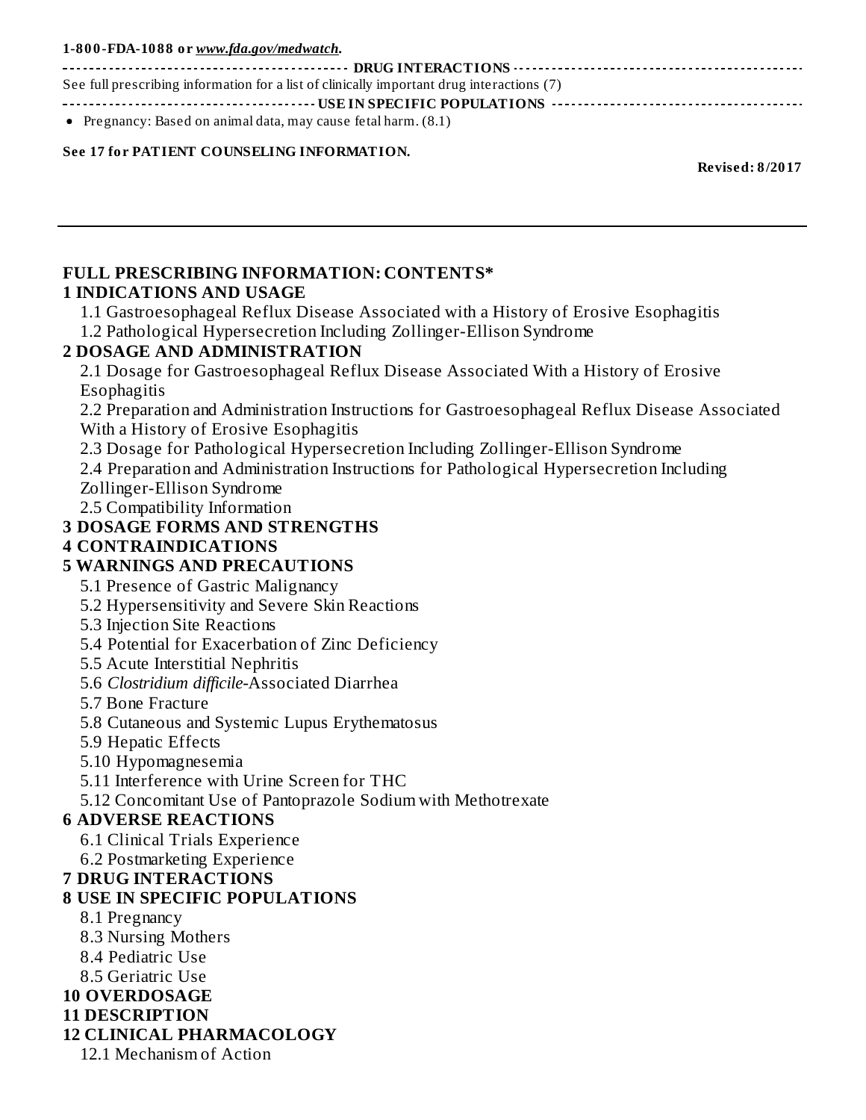#### **1-800-FDA-1088 or** *www.fda.gov/medwatch***.**

**DRUG INTERACTIONS** See full prescribing information for a list of clinically important drug interactions (7) **USE IN SPECIFIC POPULATIONS**

• Pregnancy: Based on animal data, may cause fetal harm.  $(8.1)$ 

#### **See 17 for PATIENT COUNSELING INFORMATION.**

**Revised: 8/2017**

#### **FULL PRESCRIBING INFORMATION: CONTENTS\* 1 INDICATIONS AND USAGE**

1.1 Gastroesophageal Reflux Disease Associated with a History of Erosive Esophagitis 1.2 Pathological Hypersecretion Including Zollinger-Ellison Syndrome

#### **2 DOSAGE AND ADMINISTRATION**

2.1 Dosage for Gastroesophageal Reflux Disease Associated With a History of Erosive Esophagitis

2.2 Preparation and Administration Instructions for Gastroesophageal Reflux Disease Associated With a History of Erosive Esophagitis

2.3 Dosage for Pathological Hypersecretion Including Zollinger-Ellison Syndrome

2.4 Preparation and Administration Instructions for Pathological Hypersecretion Including

Zollinger-Ellison Syndrome

2.5 Compatibility Information

#### **3 DOSAGE FORMS AND STRENGTHS**

#### **4 CONTRAINDICATIONS**

#### **5 WARNINGS AND PRECAUTIONS**

5.1 Presence of Gastric Malignancy

5.2 Hypersensitivity and Severe Skin Reactions

- 5.3 Injection Site Reactions
- 5.4 Potential for Exacerbation of Zinc Deficiency

5.5 Acute Interstitial Nephritis

- 5.6 *Clostridium difficile-*Associated Diarrhea
- 5.7 Bone Fracture
- 5.8 Cutaneous and Systemic Lupus Erythematosus
- 5.9 Hepatic Effects
- 5.10 Hypomagnesemia

5.11 Interference with Urine Screen for THC

5.12 Concomitant Use of Pantoprazole Sodium with Methotrexate

#### **6 ADVERSE REACTIONS**

6.1 Clinical Trials Experience

6.2 Postmarketing Experience

#### **7 DRUG INTERACTIONS**

### **8 USE IN SPECIFIC POPULATIONS**

- 8.1 Pregnancy
- 8.3 Nursing Mothers
- 8.4 Pediatric Use
- 8.5 Geriatric Use

### **10 OVERDOSAGE**

#### **11 DESCRIPTION**

### **12 CLINICAL PHARMACOLOGY**

12.1 Mechanism of Action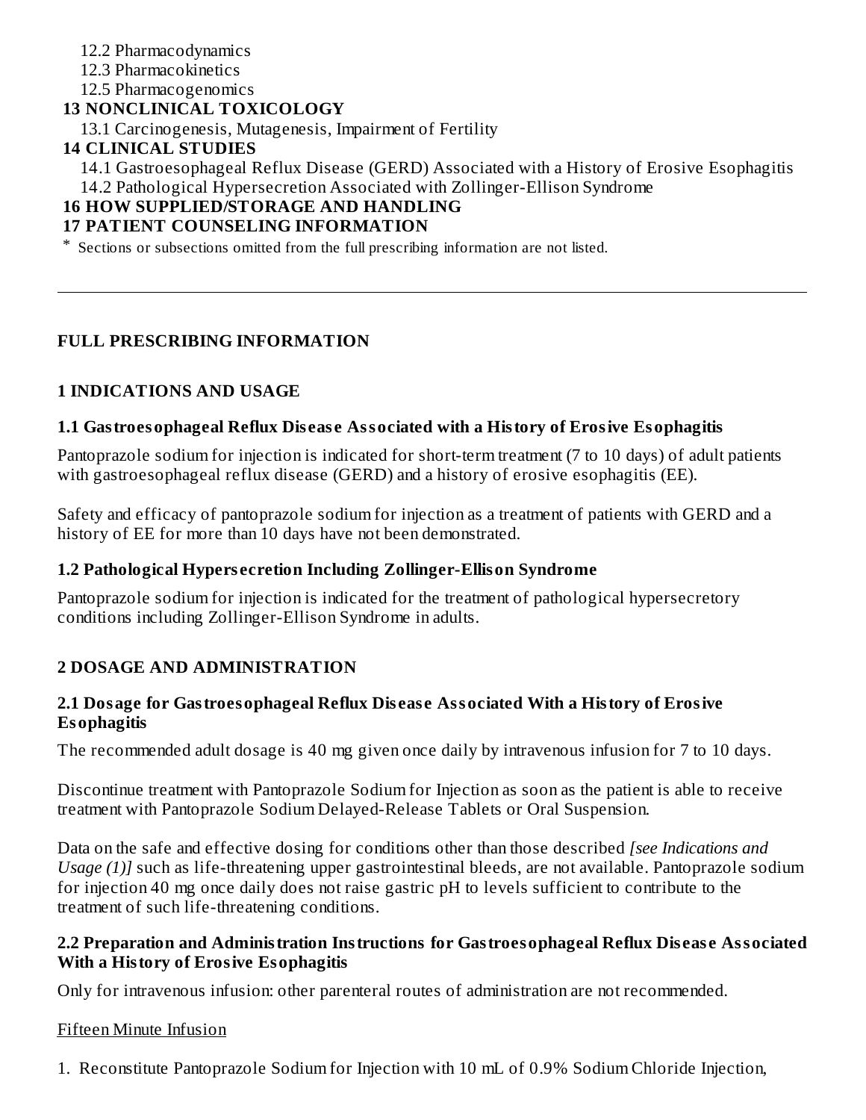### 12.2 Pharmacodynamics

12.3 Pharmacokinetics

12.5 Pharmacogenomics

### **13 NONCLINICAL TOXICOLOGY**

13.1 Carcinogenesis, Mutagenesis, Impairment of Fertility

### **14 CLINICAL STUDIES**

14.1 Gastroesophageal Reflux Disease (GERD) Associated with a History of Erosive Esophagitis 14.2 Pathological Hypersecretion Associated with Zollinger-Ellison Syndrome

# **16 HOW SUPPLIED/STORAGE AND HANDLING**

### **17 PATIENT COUNSELING INFORMATION**

\* Sections or subsections omitted from the full prescribing information are not listed.

### **FULL PRESCRIBING INFORMATION**

### **1 INDICATIONS AND USAGE**

### **1.1 Gastroesophageal Reflux Dis eas e Associated with a History of Erosive Esophagitis**

Pantoprazole sodium for injection is indicated for short-term treatment (7 to 10 days) of adult patients with gastroesophageal reflux disease (GERD) and a history of erosive esophagitis (EE).

Safety and efficacy of pantoprazole sodium for injection as a treatment of patients with GERD and a history of EE for more than 10 days have not been demonstrated.

### **1.2 Pathological Hypers ecretion Including Zollinger-Ellison Syndrome**

Pantoprazole sodium for injection is indicated for the treatment of pathological hypersecretory conditions including Zollinger-Ellison Syndrome in adults.

# **2 DOSAGE AND ADMINISTRATION**

#### **2.1 Dosage for Gastroesophageal Reflux Dis eas e Associated With a History of Erosive Esophagitis**

The recommended adult dosage is 40 mg given once daily by intravenous infusion for 7 to 10 days.

Discontinue treatment with Pantoprazole Sodium for Injection as soon as the patient is able to receive treatment with Pantoprazole Sodium Delayed-Release Tablets or Oral Suspension.

Data on the safe and effective dosing for conditions other than those described *[see Indications and Usage (1)]* such as life-threatening upper gastrointestinal bleeds, are not available. Pantoprazole sodium for injection 40 mg once daily does not raise gastric pH to levels sufficient to contribute to the treatment of such life-threatening conditions.

#### **2.2 Preparation and Administration Instructions for Gastroesophageal Reflux Dis eas e Associated With a History of Erosive Esophagitis**

Only for intravenous infusion: other parenteral routes of administration are not recommended.

### Fifteen Minute Infusion

1. Reconstitute Pantoprazole Sodium for Injection with 10 mL of 0.9% Sodium Chloride Injection,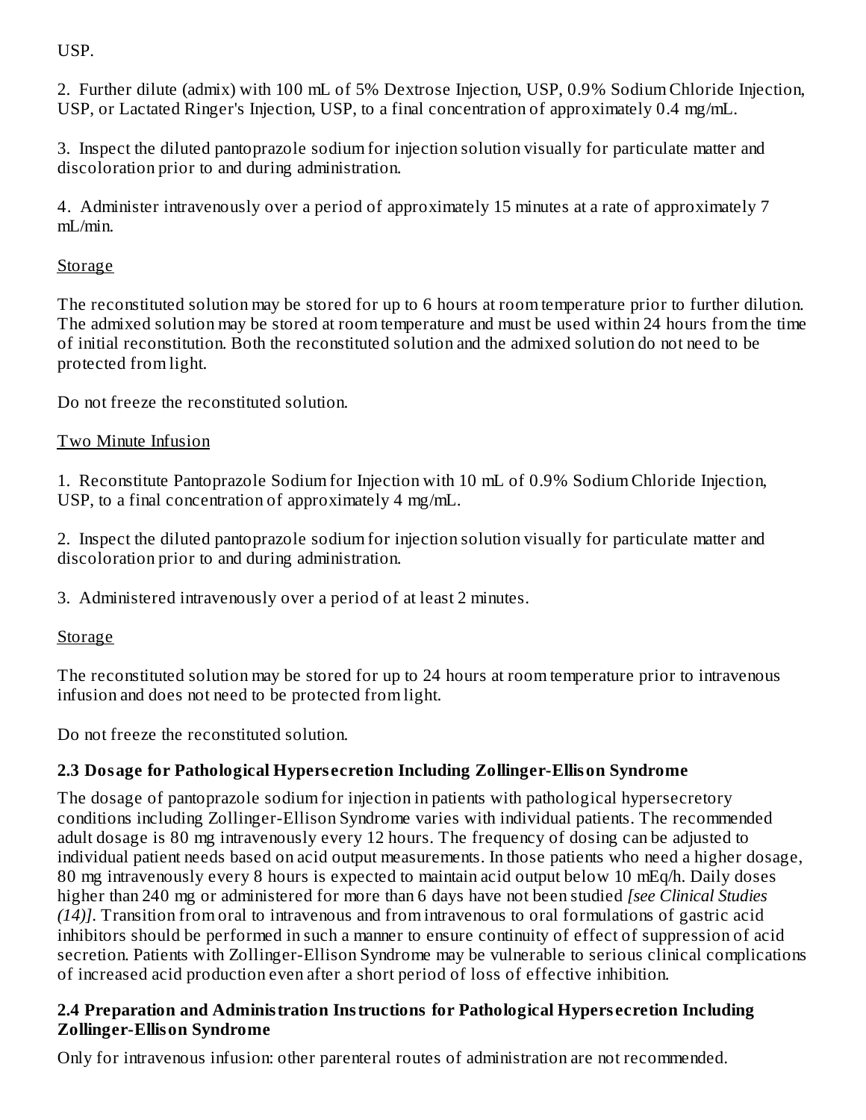USP.

2. Further dilute (admix) with 100 mL of 5% Dextrose Injection, USP, 0.9% Sodium Chloride Injection, USP, or Lactated Ringer's Injection, USP, to a final concentration of approximately 0.4 mg/mL.

3. Inspect the diluted pantoprazole sodium for injection solution visually for particulate matter and discoloration prior to and during administration.

4. Administer intravenously over a period of approximately 15 minutes at a rate of approximately 7 mL/min.

# **Storage**

The reconstituted solution may be stored for up to 6 hours at room temperature prior to further dilution. The admixed solution may be stored at room temperature and must be used within 24 hours from the time of initial reconstitution. Both the reconstituted solution and the admixed solution do not need to be protected from light.

Do not freeze the reconstituted solution.

# Two Minute Infusion

1. Reconstitute Pantoprazole Sodium for Injection with 10 mL of 0.9% Sodium Chloride Injection, USP, to a final concentration of approximately 4 mg/mL.

2. Inspect the diluted pantoprazole sodium for injection solution visually for particulate matter and discoloration prior to and during administration.

3. Administered intravenously over a period of at least 2 minutes.

# **Storage**

The reconstituted solution may be stored for up to 24 hours at room temperature prior to intravenous infusion and does not need to be protected from light.

Do not freeze the reconstituted solution.

# **2.3 Dosage for Pathological Hypers ecretion Including Zollinger-Ellison Syndrome**

The dosage of pantoprazole sodium for injection in patients with pathological hypersecretory conditions including Zollinger-Ellison Syndrome varies with individual patients. The recommended adult dosage is 80 mg intravenously every 12 hours. The frequency of dosing can be adjusted to individual patient needs based on acid output measurements. In those patients who need a higher dosage, 80 mg intravenously every 8 hours is expected to maintain acid output below 10 mEq/h. Daily doses higher than 240 mg or administered for more than 6 days have not been studied *[see Clinical Studies (14)]*. Transition from oral to intravenous and from intravenous to oral formulations of gastric acid inhibitors should be performed in such a manner to ensure continuity of effect of suppression of acid secretion. Patients with Zollinger-Ellison Syndrome may be vulnerable to serious clinical complications of increased acid production even after a short period of loss of effective inhibition.

### **2.4 Preparation and Administration Instructions for Pathological Hypers ecretion Including Zollinger-Ellison Syndrome**

Only for intravenous infusion: other parenteral routes of administration are not recommended.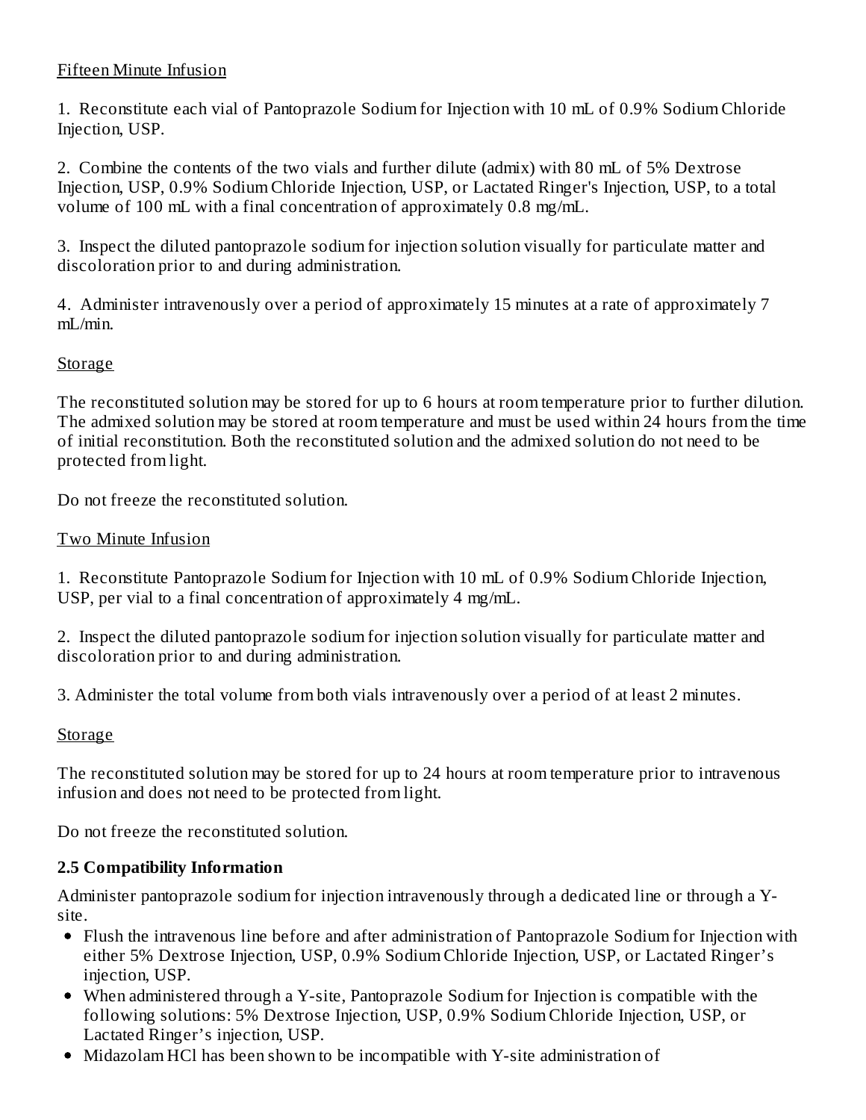### Fifteen Minute Infusion

1. Reconstitute each vial of Pantoprazole Sodium for Injection with 10 mL of 0.9% Sodium Chloride Injection, USP.

2. Combine the contents of the two vials and further dilute (admix) with 80 mL of 5% Dextrose Injection, USP, 0.9% Sodium Chloride Injection, USP, or Lactated Ringer's Injection, USP, to a total volume of 100 mL with a final concentration of approximately 0.8 mg/mL.

3. Inspect the diluted pantoprazole sodium for injection solution visually for particulate matter and discoloration prior to and during administration.

4. Administer intravenously over a period of approximately 15 minutes at a rate of approximately 7 mL/min.

### **Storage**

The reconstituted solution may be stored for up to 6 hours at room temperature prior to further dilution. The admixed solution may be stored at room temperature and must be used within 24 hours from the time of initial reconstitution. Both the reconstituted solution and the admixed solution do not need to be protected from light.

Do not freeze the reconstituted solution.

#### Two Minute Infusion

1. Reconstitute Pantoprazole Sodium for Injection with 10 mL of 0.9% Sodium Chloride Injection, USP, per vial to a final concentration of approximately 4 mg/mL.

2. Inspect the diluted pantoprazole sodium for injection solution visually for particulate matter and discoloration prior to and during administration.

3. Administer the total volume from both vials intravenously over a period of at least 2 minutes.

### Storage

The reconstituted solution may be stored for up to 24 hours at room temperature prior to intravenous infusion and does not need to be protected from light.

Do not freeze the reconstituted solution.

### **2.5 Compatibility Information**

Administer pantoprazole sodium for injection intravenously through a dedicated line or through a Ysite.

- Flush the intravenous line before and after administration of Pantoprazole Sodium for Injection with either 5% Dextrose Injection, USP, 0.9% Sodium Chloride Injection, USP, or Lactated Ringer's injection, USP.
- When administered through a Y-site, Pantoprazole Sodium for Injection is compatible with the following solutions: 5% Dextrose Injection, USP, 0.9% Sodium Chloride Injection, USP, or Lactated Ringer's injection, USP.
- Midazolam HCl has been shown to be incompatible with Y-site administration of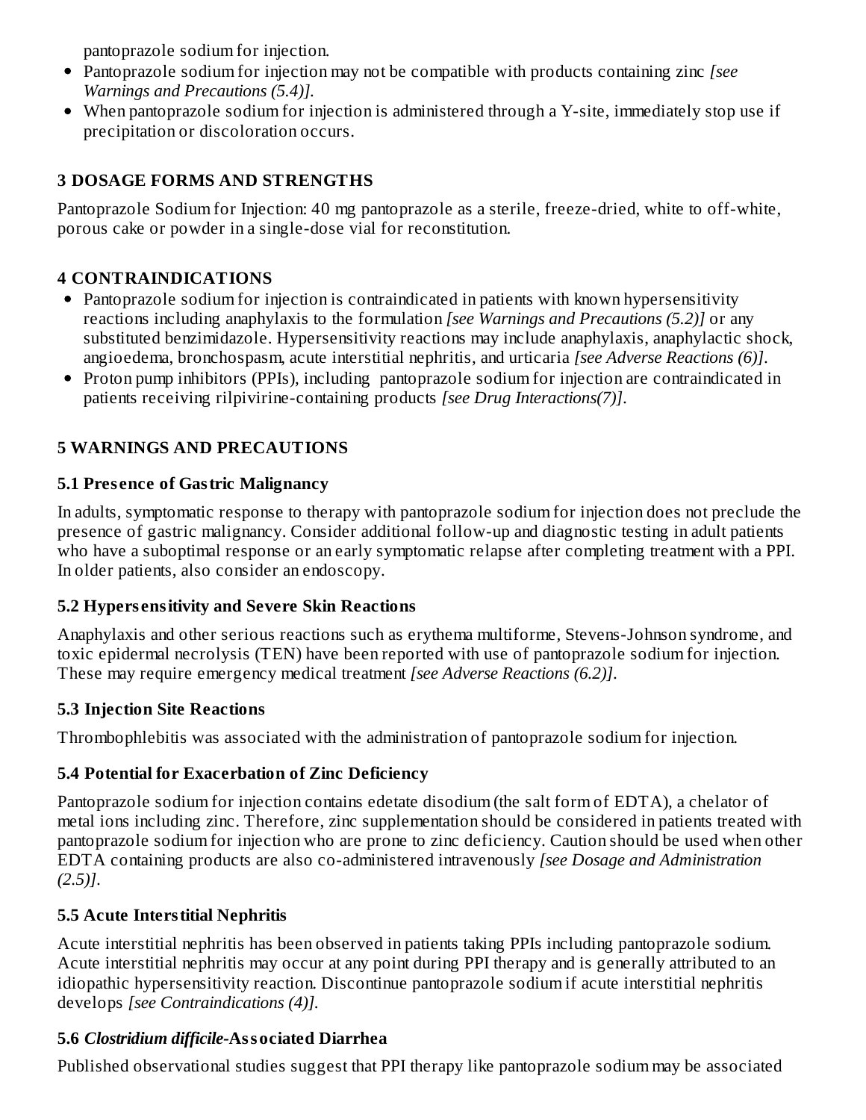pantoprazole sodium for injection.

- Pantoprazole sodium for injection may not be compatible with products containing zinc *[see Warnings and Precautions (5.4)].*
- When pantoprazole sodium for injection is administered through a Y-site, immediately stop use if precipitation or discoloration occurs.

# **3 DOSAGE FORMS AND STRENGTHS**

Pantoprazole Sodium for Injection: 40 mg pantoprazole as a sterile, freeze-dried, white to off-white, porous cake or powder in a single-dose vial for reconstitution.

# **4 CONTRAINDICATIONS**

- Pantoprazole sodium for injection is contraindicated in patients with known hypersensitivity reactions including anaphylaxis to the formulation *[see Warnings and Precautions (5.2)]* or any substituted benzimidazole. Hypersensitivity reactions may include anaphylaxis, anaphylactic shock, angioedema, bronchospasm, acute interstitial nephritis, and urticaria *[see Adverse Reactions (6)]*.
- Proton pump inhibitors (PPIs), including pantoprazole sodium for injection are contraindicated in patients receiving rilpivirine-containing products *[see Drug Interactions(7)]*.

# **5 WARNINGS AND PRECAUTIONS**

# **5.1 Pres ence of Gastric Malignancy**

In adults, symptomatic response to therapy with pantoprazole sodium for injection does not preclude the presence of gastric malignancy. Consider additional follow-up and diagnostic testing in adult patients who have a suboptimal response or an early symptomatic relapse after completing treatment with a PPI. In older patients, also consider an endoscopy.

# **5.2 Hypers ensitivity and Severe Skin Reactions**

Anaphylaxis and other serious reactions such as erythema multiforme, Stevens-Johnson syndrome, and toxic epidermal necrolysis (TEN) have been reported with use of pantoprazole sodium for injection. These may require emergency medical treatment *[see Adverse Reactions (6.2)]*.

# **5.3 Injection Site Reactions**

Thrombophlebitis was associated with the administration of pantoprazole sodium for injection.

# **5.4 Potential for Exacerbation of Zinc Deficiency**

Pantoprazole sodium for injection contains edetate disodium (the salt form of EDTA), a chelator of metal ions including zinc. Therefore, zinc supplementation should be considered in patients treated with pantoprazole sodium for injection who are prone to zinc deficiency. Caution should be used when other EDTA containing products are also co-administered intravenously *[see Dosage and Administration (2.5)]*.

# **5.5 Acute Interstitial Nephritis**

Acute interstitial nephritis has been observed in patients taking PPIs including pantoprazole sodium. Acute interstitial nephritis may occur at any point during PPI therapy and is generally attributed to an idiopathic hypersensitivity reaction. Discontinue pantoprazole sodium if acute interstitial nephritis develops *[see Contraindications (4)].*

# **5.6** *Clostridium difficile-***Associated Diarrhea**

Published observational studies suggest that PPI therapy like pantoprazole sodium may be associated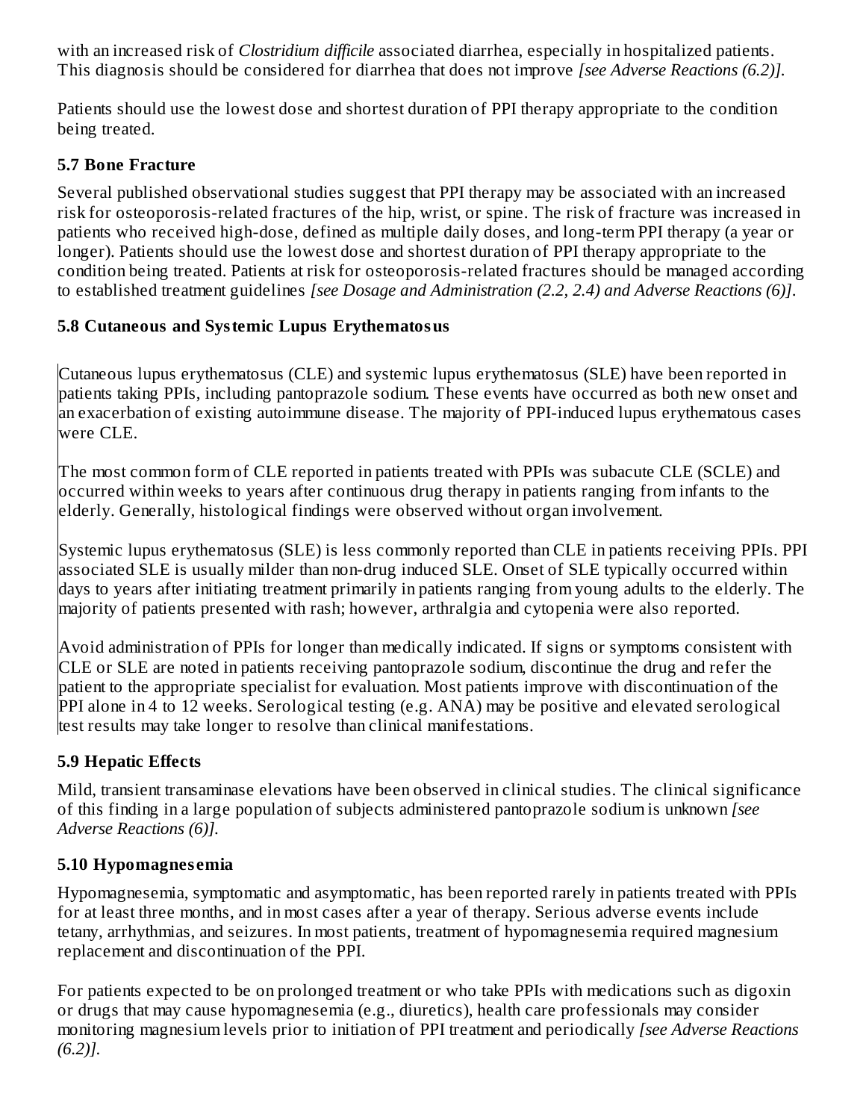with an increased risk of *Clostridium difficile* associated diarrhea, especially in hospitalized patients. This diagnosis should be considered for diarrhea that does not improve *[see Adverse Reactions (6.2)].*

Patients should use the lowest dose and shortest duration of PPI therapy appropriate to the condition being treated.

### **5.7 Bone Fracture**

Several published observational studies suggest that PPI therapy may be associated with an increased risk for osteoporosis-related fractures of the hip, wrist, or spine. The risk of fracture was increased in patients who received high-dose, defined as multiple daily doses, and long-term PPI therapy (a year or longer). Patients should use the lowest dose and shortest duration of PPI therapy appropriate to the condition being treated. Patients at risk for osteoporosis-related fractures should be managed according to established treatment guidelines *[see Dosage and Administration (2.2, 2.4) and Adverse Reactions (6)]*.

# **5.8 Cutaneous and Systemic Lupus Erythematosus**

Cutaneous lupus erythematosus (CLE) and systemic lupus erythematosus (SLE) have been reported in patients taking PPIs, including pantoprazole sodium. These events have occurred as both new onset and an exacerbation of existing autoimmune disease. The majority of PPI-induced lupus erythematous cases were CLE.

The most common form of CLE reported in patients treated with PPIs was subacute CLE (SCLE) and occurred within weeks to years after continuous drug therapy in patients ranging from infants to the elderly. Generally, histological findings were observed without organ involvement.

Systemic lupus erythematosus (SLE) is less commonly reported than CLE in patients receiving PPIs. PPI associated SLE is usually milder than non-drug induced SLE. Onset of SLE typically occurred within days to years after initiating treatment primarily in patients ranging from young adults to the elderly. The majority of patients presented with rash; however, arthralgia and cytopenia were also reported.

Avoid administration of PPIs for longer than medically indicated. If signs or symptoms consistent with CLE or SLE are noted in patients receiving pantoprazole sodium, discontinue the drug and refer the patient to the appropriate specialist for evaluation. Most patients improve with discontinuation of the PPI alone in 4 to 12 weeks. Serological testing (e.g. ANA) may be positive and elevated serological test results may take longer to resolve than clinical manifestations.

# **5.9 Hepatic Effects**

Mild, transient transaminase elevations have been observed in clinical studies. The clinical significance of this finding in a large population of subjects administered pantoprazole sodium is unknown *[see Adverse Reactions (6)].*

# **5.10 Hypomagnes emia**

Hypomagnesemia, symptomatic and asymptomatic, has been reported rarely in patients treated with PPIs for at least three months, and in most cases after a year of therapy. Serious adverse events include tetany, arrhythmias, and seizures. In most patients, treatment of hypomagnesemia required magnesium replacement and discontinuation of the PPI.

For patients expected to be on prolonged treatment or who take PPIs with medications such as digoxin or drugs that may cause hypomagnesemia (e.g., diuretics), health care professionals may consider monitoring magnesium levels prior to initiation of PPI treatment and periodically *[see Adverse Reactions (6.2)].*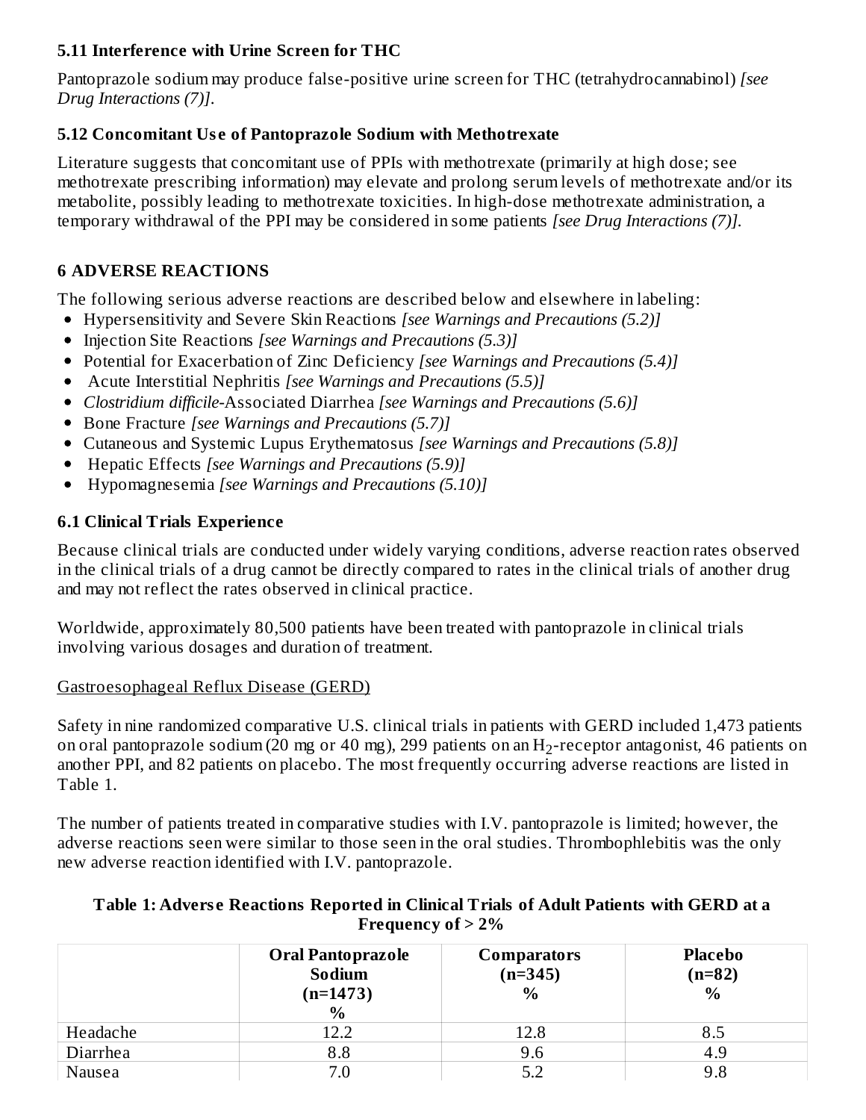### **5.11 Interference with Urine Screen for THC**

Pantoprazole sodium may produce false-positive urine screen for THC (tetrahydrocannabinol) *[see Drug Interactions (7)]*.

### **5.12 Concomitant Us e of Pantoprazole Sodium with Methotrexate**

Literature suggests that concomitant use of PPIs with methotrexate (primarily at high dose; see methotrexate prescribing information) may elevate and prolong serum levels of methotrexate and/or its metabolite, possibly leading to methotrexate toxicities. In high-dose methotrexate administration, a temporary withdrawal of the PPI may be considered in some patients *[see Drug Interactions (7)].*

# **6 ADVERSE REACTIONS**

The following serious adverse reactions are described below and elsewhere in labeling:

- Hypersensitivity and Severe Skin Reactions *[see Warnings and Precautions (5.2)]*
- Injection Site Reactions *[see Warnings and Precautions (5.3)]*
- Potential for Exacerbation of Zinc Deficiency *[see Warnings and Precautions (5.4)]*
- Acute Interstitial Nephritis *[see Warnings and Precautions (5.5)]*
- *Clostridium difficile-*Associated Diarrhea *[see Warnings and Precautions (5.6)]*
- Bone Fracture *[see Warnings and Precautions (5.7)]*
- Cutaneous and Systemic Lupus Erythematosus *[see Warnings and Precautions (5.8)]*
- Hepatic Effects *[see Warnings and Precautions (5.9)]*  $\bullet$
- Hypomagnesemia *[see Warnings and Precautions (5.10)]*  $\bullet$

# **6.1 Clinical Trials Experience**

Because clinical trials are conducted under widely varying conditions, adverse reaction rates observed in the clinical trials of a drug cannot be directly compared to rates in the clinical trials of another drug and may not reflect the rates observed in clinical practice.

Worldwide, approximately 80,500 patients have been treated with pantoprazole in clinical trials involving various dosages and duration of treatment.

### Gastroesophageal Reflux Disease (GERD)

Safety in nine randomized comparative U.S. clinical trials in patients with GERD included 1,473 patients on oral pantoprazole sodium (20 mg or 40 mg), 299 patients on an  $\rm{H}_{2}$ -receptor antagonist, 46 patients on another PPI, and 82 patients on placebo. The most frequently occurring adverse reactions are listed in Table 1.

The number of patients treated in comparative studies with I.V. pantoprazole is limited; however, the adverse reactions seen were similar to those seen in the oral studies. Thrombophlebitis was the only new adverse reaction identified with I.V. pantoprazole.

#### **Table 1: Advers e Reactions Reported in Clinical Trials of Adult Patients with GERD at a Frequency of > 2%**

|          | <b>Oral Pantoprazole</b><br>Sodium<br>$(n=1473)$<br>$\frac{0}{0}$ | <b>Comparators</b><br>$(n=345)$<br>$\frac{0}{0}$ | <b>Placebo</b><br>$(n=82)$<br>$\%$ |
|----------|-------------------------------------------------------------------|--------------------------------------------------|------------------------------------|
| Headache | 12.2                                                              | 12.8                                             | 8.5                                |
| Diarrhea | 8.8                                                               | 9.6                                              | 4.9                                |
| Nausea   | 7.0                                                               | 5.2                                              | 9.8                                |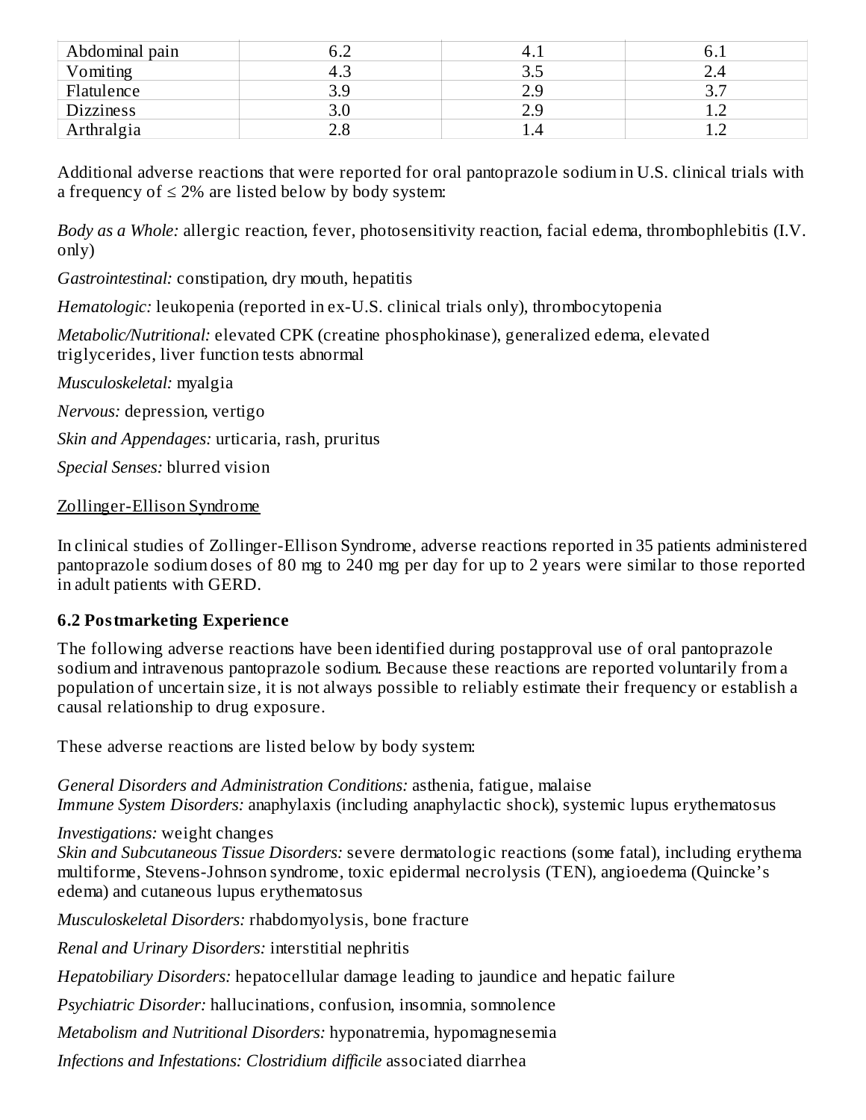| Abdominal pain   |     |     |  |
|------------------|-----|-----|--|
| Vomiting         | ل.⊤ | ۰۰، |  |
| Flatulence       | 3.9 |     |  |
| <b>Dizziness</b> |     |     |  |
| Arthralgia       |     |     |  |

Additional adverse reactions that were reported for oral pantoprazole sodium in U.S. clinical trials with a frequency of  $\leq 2\%$  are listed below by body system:

*Body as a Whole:* allergic reaction, fever, photosensitivity reaction, facial edema, thrombophlebitis (I.V. only)

*Gastrointestinal:* constipation, dry mouth, hepatitis

*Hematologic:* leukopenia (reported in ex-U.S. clinical trials only), thrombocytopenia

*Metabolic/Nutritional:* elevated CPK (creatine phosphokinase), generalized edema, elevated triglycerides, liver function tests abnormal

*Musculoskeletal:* myalgia

*Nervous:* depression, vertigo

*Skin and Appendages:* urticaria, rash, pruritus

*Special Senses:* blurred vision

### Zollinger-Ellison Syndrome

In clinical studies of Zollinger-Ellison Syndrome, adverse reactions reported in 35 patients administered pantoprazole sodium doses of 80 mg to 240 mg per day for up to 2 years were similar to those reported in adult patients with GERD.

# **6.2 Postmarketing Experience**

The following adverse reactions have been identified during postapproval use of oral pantoprazole sodium and intravenous pantoprazole sodium. Because these reactions are reported voluntarily from a population of uncertain size, it is not always possible to reliably estimate their frequency or establish a causal relationship to drug exposure.

These adverse reactions are listed below by body system:

*General Disorders and Administration Conditions:* asthenia, fatigue, malaise *Immune System Disorders:* anaphylaxis (including anaphylactic shock), systemic lupus erythematosus

# *Investigations:* weight changes

*Skin and Subcutaneous Tissue Disorders:* severe dermatologic reactions (some fatal), including erythema multiforme, Stevens-Johnson syndrome, toxic epidermal necrolysis (TEN), angioedema (Quincke's edema) and cutaneous lupus erythematosus

*Musculoskeletal Disorders:* rhabdomyolysis, bone fracture

*Renal and Urinary Disorders:* interstitial nephritis

*Hepatobiliary Disorders:* hepatocellular damage leading to jaundice and hepatic failure

*Psychiatric Disorder:* hallucinations, confusion, insomnia, somnolence

*Metabolism and Nutritional Disorders:* hyponatremia, hypomagnesemia

*Infections and Infestations: Clostridium difficile* associated diarrhea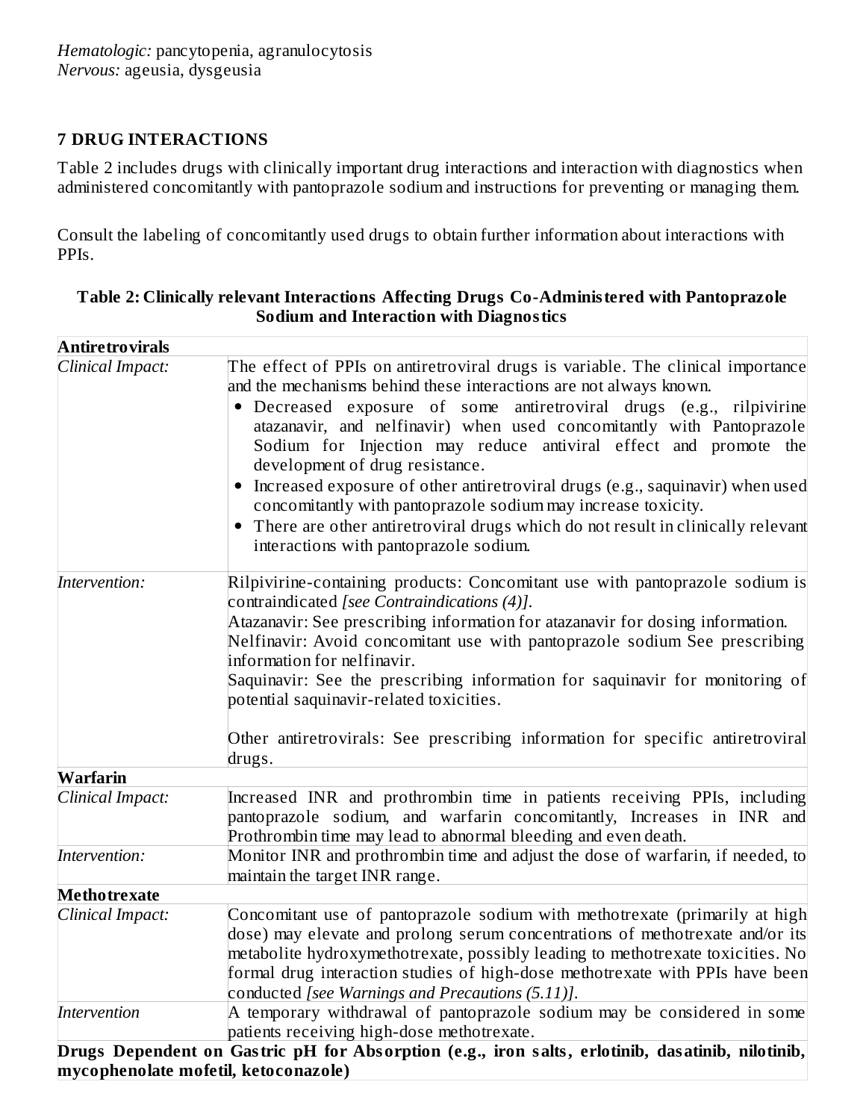### **7 DRUG INTERACTIONS**

Table 2 includes drugs with clinically important drug interactions and interaction with diagnostics when administered concomitantly with pantoprazole sodium and instructions for preventing or managing them.

Consult the labeling of concomitantly used drugs to obtain further information about interactions with PPIs.

| Table 2: Clinically relevant Interactions Affecting Drugs Co-Administered with Pantoprazole |  |
|---------------------------------------------------------------------------------------------|--|
| <b>Sodium and Interaction with Diagnostics</b>                                              |  |

| <b>Antiretrovirals</b> |                                                                                                                                                                                                                                                                                                                                                                                                                                                                                                                                                                                                                                                                                                  |
|------------------------|--------------------------------------------------------------------------------------------------------------------------------------------------------------------------------------------------------------------------------------------------------------------------------------------------------------------------------------------------------------------------------------------------------------------------------------------------------------------------------------------------------------------------------------------------------------------------------------------------------------------------------------------------------------------------------------------------|
| Clinical Impact:       | The effect of PPIs on antiretroviral drugs is variable. The clinical importance<br>and the mechanisms behind these interactions are not always known.<br>· Decreased exposure of some antiretroviral drugs (e.g., rilpivirine<br>atazanavir, and nelfinavir) when used concomitantly with Pantoprazole<br>Sodium for Injection may reduce antiviral effect and promote the<br>development of drug resistance.<br>• Increased exposure of other antiretroviral drugs (e.g., saquinavir) when used<br>concomitantly with pantoprazole sodium may increase toxicity.<br>• There are other antiretroviral drugs which do not result in clinically relevant<br>interactions with pantoprazole sodium. |
| Intervention:          | Rilpivirine-containing products: Concomitant use with pantoprazole sodium is<br>contraindicated [see Contraindications (4)].<br>Atazanavir: See prescribing information for atazanavir for dosing information.<br>Nelfinavir: Avoid concomitant use with pantoprazole sodium See prescribing<br>information for nelfinavir.<br>Saquinavir: See the prescribing information for saquinavir for monitoring of<br>potential saquinavir-related toxicities.<br>Other antiretrovirals: See prescribing information for specific antiretroviral<br>drugs.                                                                                                                                              |
| Warfarin               |                                                                                                                                                                                                                                                                                                                                                                                                                                                                                                                                                                                                                                                                                                  |
| Clinical Impact:       | Increased INR and prothrombin time in patients receiving PPIs, including<br>pantoprazole sodium, and warfarin concomitantly, Increases in INR and<br>Prothrombin time may lead to abnormal bleeding and even death.                                                                                                                                                                                                                                                                                                                                                                                                                                                                              |
| Intervention:          | Monitor INR and prothrombin time and adjust the dose of warfarin, if needed, to $\,$<br>maintain the target INR range.                                                                                                                                                                                                                                                                                                                                                                                                                                                                                                                                                                           |
| <b>Methotrexate</b>    |                                                                                                                                                                                                                                                                                                                                                                                                                                                                                                                                                                                                                                                                                                  |
| Clinical Impact:       | Concomitant use of pantoprazole sodium with methotrexate (primarily at high<br>dose) may elevate and prolong serum concentrations of methotrexate and/or its<br>$\,$ metabolite $\,$ hydroxymethotrexate, possibly leading to methotrexate toxicities. No $\,$<br>formal drug interaction studies of high-dose methotrexate with PPIs have been<br>conducted [see Warnings and Precautions (5.11)].                                                                                                                                                                                                                                                                                              |
| Intervention           | A temporary withdrawal of pantoprazole sodium may be considered in some<br>patients receiving high-dose methotrexate.                                                                                                                                                                                                                                                                                                                                                                                                                                                                                                                                                                            |
|                        | Drugs Dependent on Gastric pH for Absorption (e.g., iron salts, erlotinib, dasatinib, nilotinib,<br>mycophenolate mofetil, ketoconazole)                                                                                                                                                                                                                                                                                                                                                                                                                                                                                                                                                         |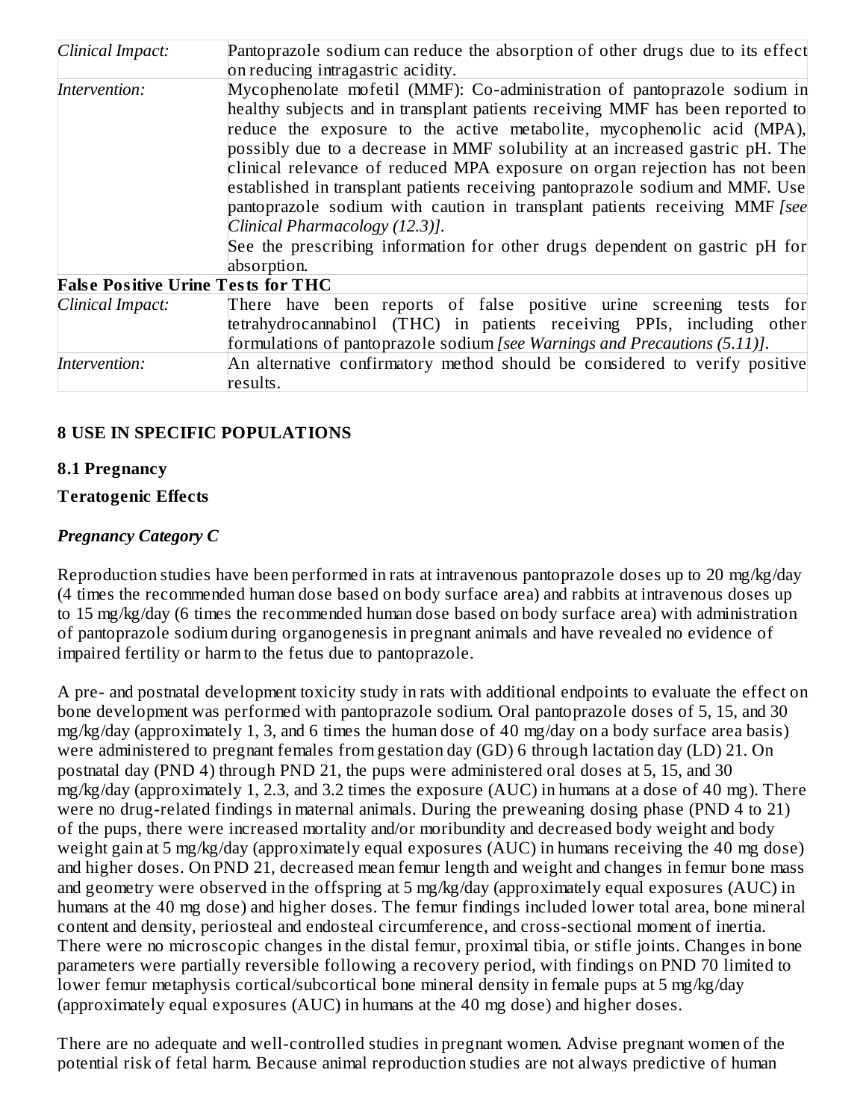| Clinical Impact:                          | Pantoprazole sodium can reduce the absorption of other drugs due to its effect |  |  |  |  |
|-------------------------------------------|--------------------------------------------------------------------------------|--|--|--|--|
|                                           | on reducing intragastric acidity.                                              |  |  |  |  |
| Intervention:                             | Mycophenolate mofetil (MMF): Co-administration of pantoprazole sodium in       |  |  |  |  |
|                                           | healthy subjects and in transplant patients receiving MMF has been reported to |  |  |  |  |
|                                           | reduce the exposure to the active metabolite, mycophenolic acid (MPA),         |  |  |  |  |
|                                           | possibly due to a decrease in MMF solubility at an increased gastric pH. The   |  |  |  |  |
|                                           | clinical relevance of reduced MPA exposure on organ rejection has not been     |  |  |  |  |
|                                           | established in transplant patients receiving pantoprazole sodium and MMF. Use  |  |  |  |  |
|                                           | pantoprazole sodium with caution in transplant patients receiving MMF [see     |  |  |  |  |
|                                           | Clinical Pharmacology (12.3)].                                                 |  |  |  |  |
|                                           | See the prescribing information for other drugs dependent on gastric pH for    |  |  |  |  |
|                                           | absorption.                                                                    |  |  |  |  |
| <b>False Positive Urine Tests for THC</b> |                                                                                |  |  |  |  |
| Clinical Impact:                          | There have been reports of false positive urine screening tests for            |  |  |  |  |
|                                           | tetrahydrocannabinol (THC) in patients receiving PPIs, including other         |  |  |  |  |
|                                           | formulations of pantoprazole sodium [see Warnings and Precautions (5.11)].     |  |  |  |  |
|                                           | An alternative confirmatory method should be considered to verify positive     |  |  |  |  |
| Intervention:                             | results.                                                                       |  |  |  |  |

### **8 USE IN SPECIFIC POPULATIONS**

#### **8.1 Pregnancy**

#### **Teratogenic Effects**

#### *Pregnancy Category C*

Reproduction studies have been performed in rats at intravenous pantoprazole doses up to 20 mg/kg/day (4 times the recommended human dose based on body surface area) and rabbits at intravenous doses up to 15 mg/kg/day (6 times the recommended human dose based on body surface area) with administration of pantoprazole sodium during organogenesis in pregnant animals and have revealed no evidence of impaired fertility or harm to the fetus due to pantoprazole.

A pre- and postnatal development toxicity study in rats with additional endpoints to evaluate the effect on bone development was performed with pantoprazole sodium. Oral pantoprazole doses of 5, 15, and 30 mg/kg/day (approximately 1, 3, and 6 times the human dose of 40 mg/day on a body surface area basis) were administered to pregnant females from gestation day (GD) 6 through lactation day (LD) 21. On postnatal day (PND 4) through PND 21, the pups were administered oral doses at 5, 15, and 30 mg/kg/day (approximately 1, 2.3, and 3.2 times the exposure (AUC) in humans at a dose of 40 mg). There were no drug-related findings in maternal animals. During the preweaning dosing phase (PND 4 to 21) of the pups, there were increased mortality and/or moribundity and decreased body weight and body weight gain at 5 mg/kg/day (approximately equal exposures (AUC) in humans receiving the 40 mg dose) and higher doses. On PND 21, decreased mean femur length and weight and changes in femur bone mass and geometry were observed in the offspring at 5 mg/kg/day (approximately equal exposures (AUC) in humans at the 40 mg dose) and higher doses. The femur findings included lower total area, bone mineral content and density, periosteal and endosteal circumference, and cross-sectional moment of inertia. There were no microscopic changes in the distal femur, proximal tibia, or stifle joints. Changes in bone parameters were partially reversible following a recovery period, with findings on PND 70 limited to lower femur metaphysis cortical/subcortical bone mineral density in female pups at 5 mg/kg/day (approximately equal exposures (AUC) in humans at the 40 mg dose) and higher doses.

There are no adequate and well-controlled studies in pregnant women. Advise pregnant women of the potential risk of fetal harm. Because animal reproduction studies are not always predictive of human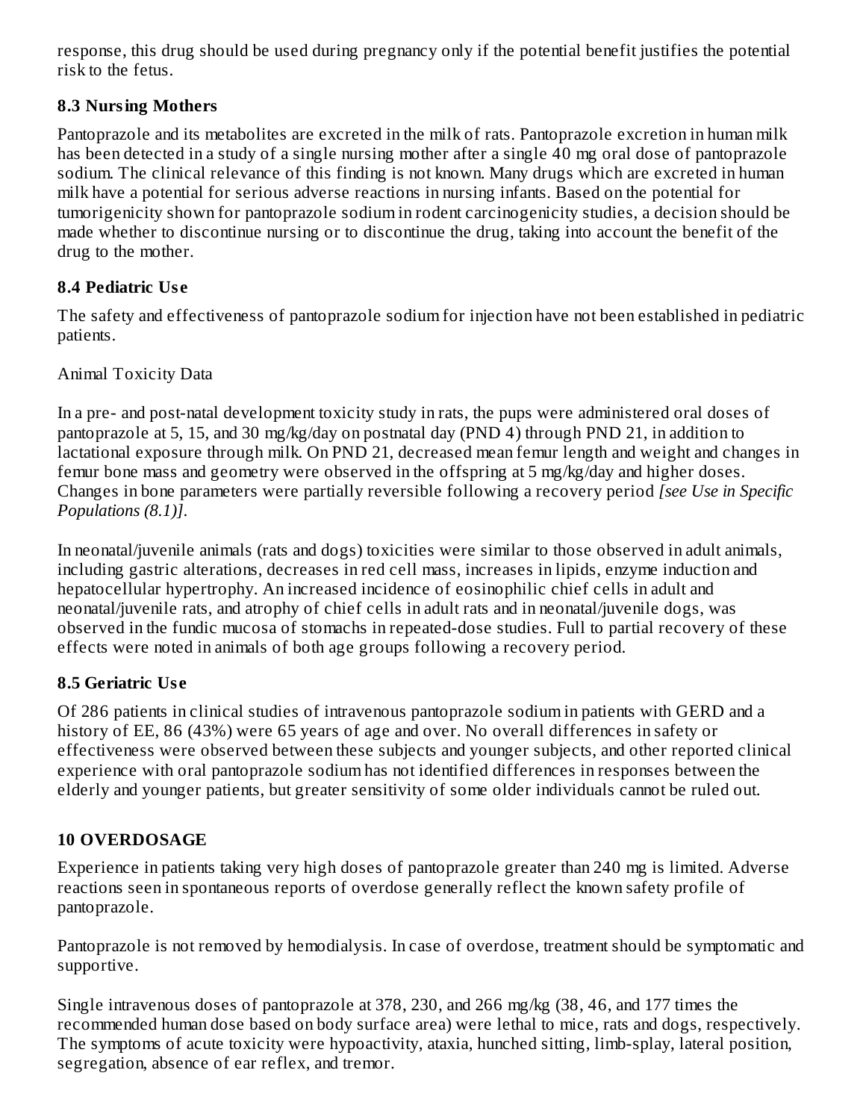response, this drug should be used during pregnancy only if the potential benefit justifies the potential risk to the fetus.

# **8.3 Nursing Mothers**

Pantoprazole and its metabolites are excreted in the milk of rats. Pantoprazole excretion in human milk has been detected in a study of a single nursing mother after a single 40 mg oral dose of pantoprazole sodium. The clinical relevance of this finding is not known. Many drugs which are excreted in human milk have a potential for serious adverse reactions in nursing infants. Based on the potential for tumorigenicity shown for pantoprazole sodium in rodent carcinogenicity studies, a decision should be made whether to discontinue nursing or to discontinue the drug, taking into account the benefit of the drug to the mother.

# **8.4 Pediatric Us e**

The safety and effectiveness of pantoprazole sodium for injection have not been established in pediatric patients.

### Animal Toxicity Data

In a pre- and post-natal development toxicity study in rats, the pups were administered oral doses of pantoprazole at 5, 15, and 30 mg/kg/day on postnatal day (PND 4) through PND 21, in addition to lactational exposure through milk. On PND 21, decreased mean femur length and weight and changes in femur bone mass and geometry were observed in the offspring at 5 mg/kg/day and higher doses. Changes in bone parameters were partially reversible following a recovery period *[see Use in Specific Populations (8.1)]*.

In neonatal/juvenile animals (rats and dogs) toxicities were similar to those observed in adult animals, including gastric alterations, decreases in red cell mass, increases in lipids, enzyme induction and hepatocellular hypertrophy. An increased incidence of eosinophilic chief cells in adult and neonatal/juvenile rats, and atrophy of chief cells in adult rats and in neonatal/juvenile dogs, was observed in the fundic mucosa of stomachs in repeated-dose studies. Full to partial recovery of these effects were noted in animals of both age groups following a recovery period.

# **8.5 Geriatric Us e**

Of 286 patients in clinical studies of intravenous pantoprazole sodium in patients with GERD and a history of EE, 86 (43%) were 65 years of age and over. No overall differences in safety or effectiveness were observed between these subjects and younger subjects, and other reported clinical experience with oral pantoprazole sodium has not identified differences in responses between the elderly and younger patients, but greater sensitivity of some older individuals cannot be ruled out.

# **10 OVERDOSAGE**

Experience in patients taking very high doses of pantoprazole greater than 240 mg is limited. Adverse reactions seen in spontaneous reports of overdose generally reflect the known safety profile of pantoprazole.

Pantoprazole is not removed by hemodialysis. In case of overdose, treatment should be symptomatic and supportive.

Single intravenous doses of pantoprazole at 378, 230, and 266 mg/kg (38, 46, and 177 times the recommended human dose based on body surface area) were lethal to mice, rats and dogs, respectively. The symptoms of acute toxicity were hypoactivity, ataxia, hunched sitting, limb-splay, lateral position, segregation, absence of ear reflex, and tremor.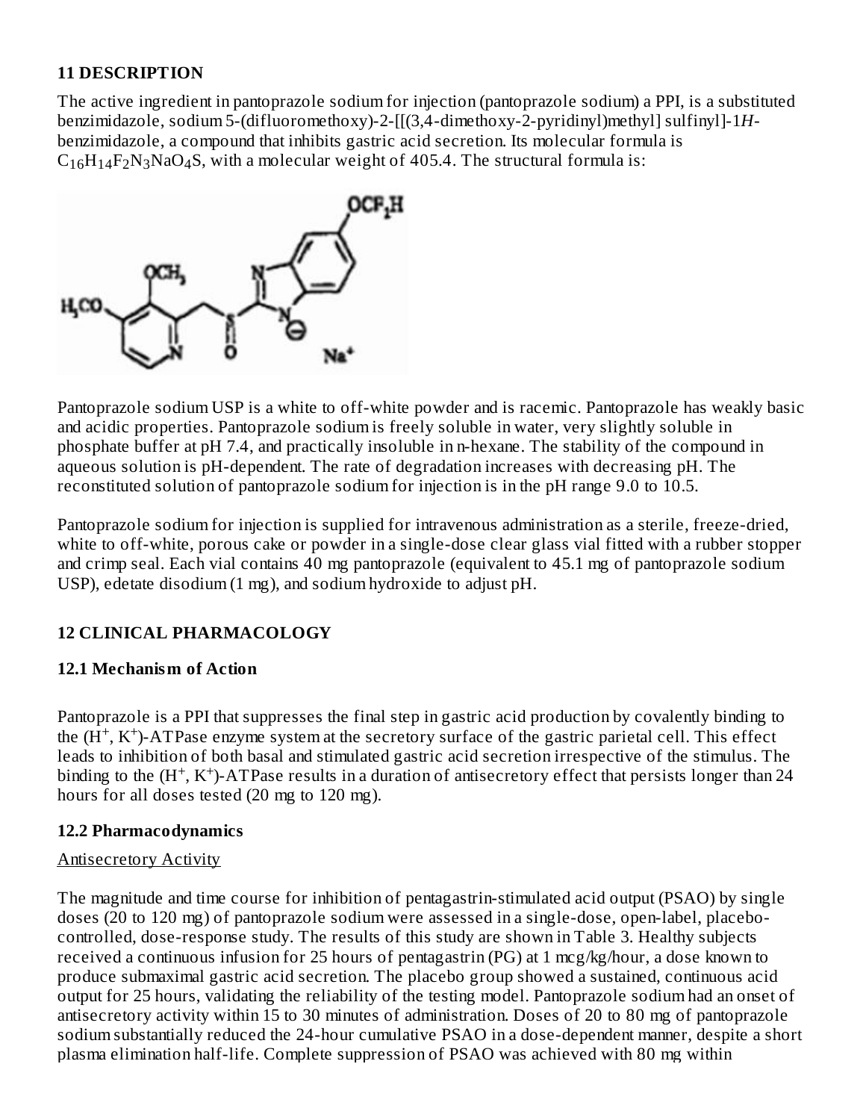### **11 DESCRIPTION**

The active ingredient in pantoprazole sodium for injection (pantoprazole sodium) a PPI, is a substituted benzimidazole, sodium 5-(difluoromethoxy)-2-[[(3,4-dimethoxy-2-pyridinyl)methyl] sulfinyl]-1*H*benzimidazole, a compound that inhibits gastric acid secretion. Its molecular formula is  $C_{16}H_{14}F_2N_3NaO_4S$ , with a molecular weight of 405.4. The structural formula is:



Pantoprazole sodium USP is a white to off-white powder and is racemic. Pantoprazole has weakly basic and acidic properties. Pantoprazole sodium is freely soluble in water, very slightly soluble in phosphate buffer at pH 7.4, and practically insoluble in n-hexane. The stability of the compound in aqueous solution is pH-dependent. The rate of degradation increases with decreasing pH. The reconstituted solution of pantoprazole sodium for injection is in the pH range 9.0 to 10.5.

Pantoprazole sodium for injection is supplied for intravenous administration as a sterile, freeze-dried, white to off-white, porous cake or powder in a single-dose clear glass vial fitted with a rubber stopper and crimp seal. Each vial contains 40 mg pantoprazole (equivalent to 45.1 mg of pantoprazole sodium USP), edetate disodium (1 mg), and sodium hydroxide to adjust pH.

# **12 CLINICAL PHARMACOLOGY**

# **12.1 Mechanism of Action**

Pantoprazole is a PPI that suppresses the final step in gastric acid production by covalently binding to the  $(H^+, K^+)$ -ATPase enzyme system at the secretory surface of the gastric parietal cell. This effect leads to inhibition of both basal and stimulated gastric acid secretion irrespective of the stimulus. The binding to the  $(H^+, K^+)$ -ATPase results in a duration of antisecretory effect that persists longer than 24 hours for all doses tested (20 mg to 120 mg).

# **12.2 Pharmacodynamics**

### Antisecretory Activity

The magnitude and time course for inhibition of pentagastrin-stimulated acid output (PSAO) by single doses (20 to 120 mg) of pantoprazole sodium were assessed in a single-dose, open-label, placebocontrolled, dose-response study. The results of this study are shown in Table 3. Healthy subjects received a continuous infusion for 25 hours of pentagastrin (PG) at 1 mcg/kg/hour, a dose known to produce submaximal gastric acid secretion. The placebo group showed a sustained, continuous acid output for 25 hours, validating the reliability of the testing model. Pantoprazole sodium had an onset of antisecretory activity within 15 to 30 minutes of administration. Doses of 20 to 80 mg of pantoprazole sodium substantially reduced the 24-hour cumulative PSAO in a dose-dependent manner, despite a short plasma elimination half-life. Complete suppression of PSAO was achieved with 80 mg within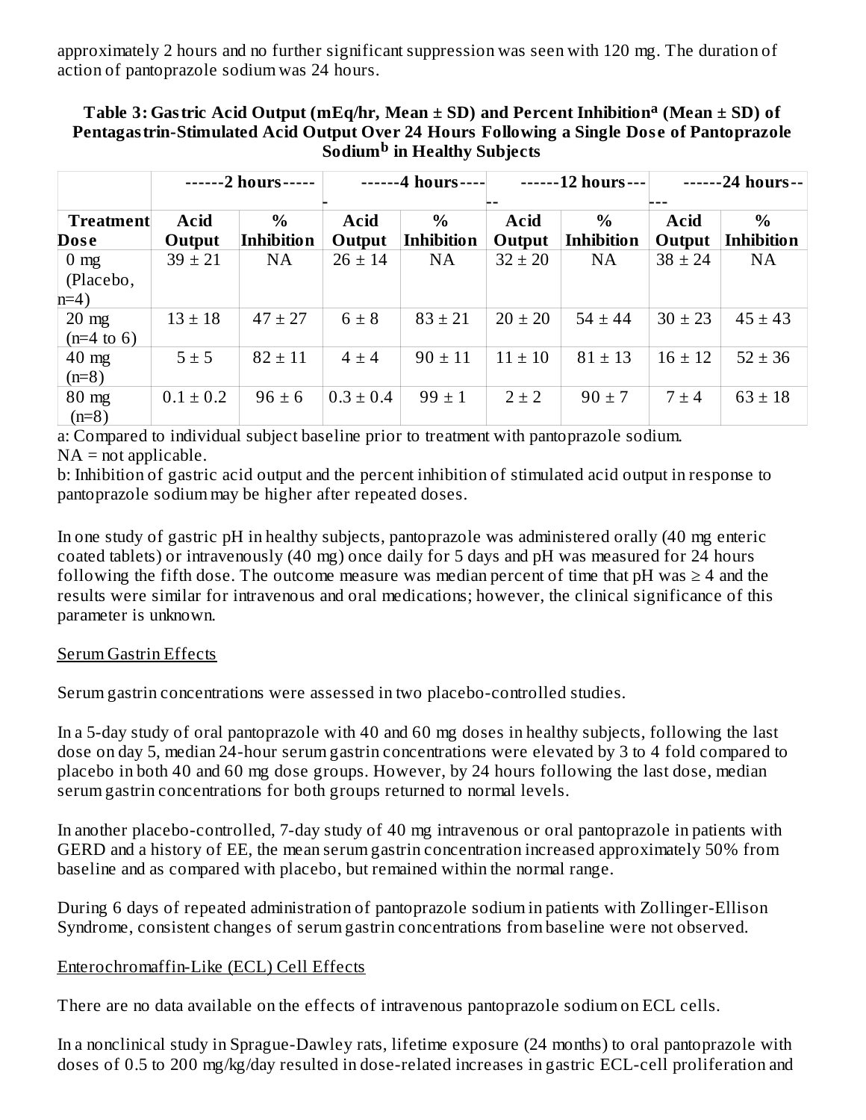approximately 2 hours and no further significant suppression was seen with 120 mg. The duration of action of pantoprazole sodium was 24 hours.

#### **Table 3: Gastric Acid Output (mEq/hr, Mean ± SD) and Percent Inhibition (Mean ± SD) of a Pentagastrin-Stimulated Acid Output Over 24 Hours Following a Single Dos e of Pantoprazole**  $\mathbf{\hat{S}odium}^{\mathbf{b}}$  in  $\mathbf{Healthy}$   $\mathbf{Subjects}$

|                                          |                | -2 hours-                 |                | -4 hours-                          | -12 hours---   |                           | -24 hours--           |                           |
|------------------------------------------|----------------|---------------------------|----------------|------------------------------------|----------------|---------------------------|-----------------------|---------------------------|
| <b>Treatment</b><br><b>Dose</b>          | Acid<br>Output | $\%$<br><b>Inhibition</b> | Acid<br>Output | $\frac{0}{0}$<br><b>Inhibition</b> | Acid<br>Output | $\%$<br><b>Inhibition</b> | <b>Acid</b><br>Output | $\%$<br><b>Inhibition</b> |
| $0 \text{ mg}$<br>(Placebo,<br>$n=4$     | $39 \pm 21$    | <b>NA</b>                 | $26 \pm 14$    | <b>NA</b>                          | $32 \pm 20$    | <b>NA</b>                 | $38 \pm 24$           | NA                        |
| $20 \text{ mg}$<br>$(n=4 \text{ to } 6)$ | $13 \pm 18$    | $47 \pm 27$               | $6 \pm 8$      | $83 \pm 21$                        | $20 \pm 20$    | $54 \pm 44$               | $30 \pm 23$           | $45 \pm 43$               |
| $40$ mg<br>$(n=8)$                       | $5 \pm 5$      | $82 \pm 11$               | $4 \pm 4$      | $90 \pm 11$                        | $11 \pm 10$    | $81 \pm 13$               | $16 \pm 12$           | $52 \pm 36$               |
| $80$ mg<br>$(n=8)$                       | $0.1 \pm 0.2$  | $96 \pm 6$                | $0.3 \pm 0.4$  | $99 \pm 1$                         | $2 \pm 2$      | $90 \pm 7$                | $7 \pm 4$             | $63 \pm 18$               |

a: Compared to individual subject baseline prior to treatment with pantoprazole sodium.  $NA = not applicable.$ 

b: Inhibition of gastric acid output and the percent inhibition of stimulated acid output in response to pantoprazole sodium may be higher after repeated doses.

In one study of gastric pH in healthy subjects, pantoprazole was administered orally (40 mg enteric coated tablets) or intravenously (40 mg) once daily for 5 days and pH was measured for 24 hours following the fifth dose. The outcome measure was median percent of time that  $pH$  was  $\geq 4$  and the results were similar for intravenous and oral medications; however, the clinical significance of this parameter is unknown.

### Serum Gastrin Effects

Serum gastrin concentrations were assessed in two placebo-controlled studies.

In a 5-day study of oral pantoprazole with 40 and 60 mg doses in healthy subjects, following the last dose on day 5, median 24-hour serum gastrin concentrations were elevated by 3 to 4 fold compared to placebo in both 40 and 60 mg dose groups. However, by 24 hours following the last dose, median serum gastrin concentrations for both groups returned to normal levels.

In another placebo-controlled, 7-day study of 40 mg intravenous or oral pantoprazole in patients with GERD and a history of EE, the mean serum gastrin concentration increased approximately 50% from baseline and as compared with placebo, but remained within the normal range.

During 6 days of repeated administration of pantoprazole sodium in patients with Zollinger-Ellison Syndrome, consistent changes of serum gastrin concentrations from baseline were not observed.

### Enterochromaffin-Like (ECL) Cell Effects

There are no data available on the effects of intravenous pantoprazole sodium on ECL cells.

In a nonclinical study in Sprague-Dawley rats, lifetime exposure (24 months) to oral pantoprazole with doses of 0.5 to 200 mg/kg/day resulted in dose-related increases in gastric ECL-cell proliferation and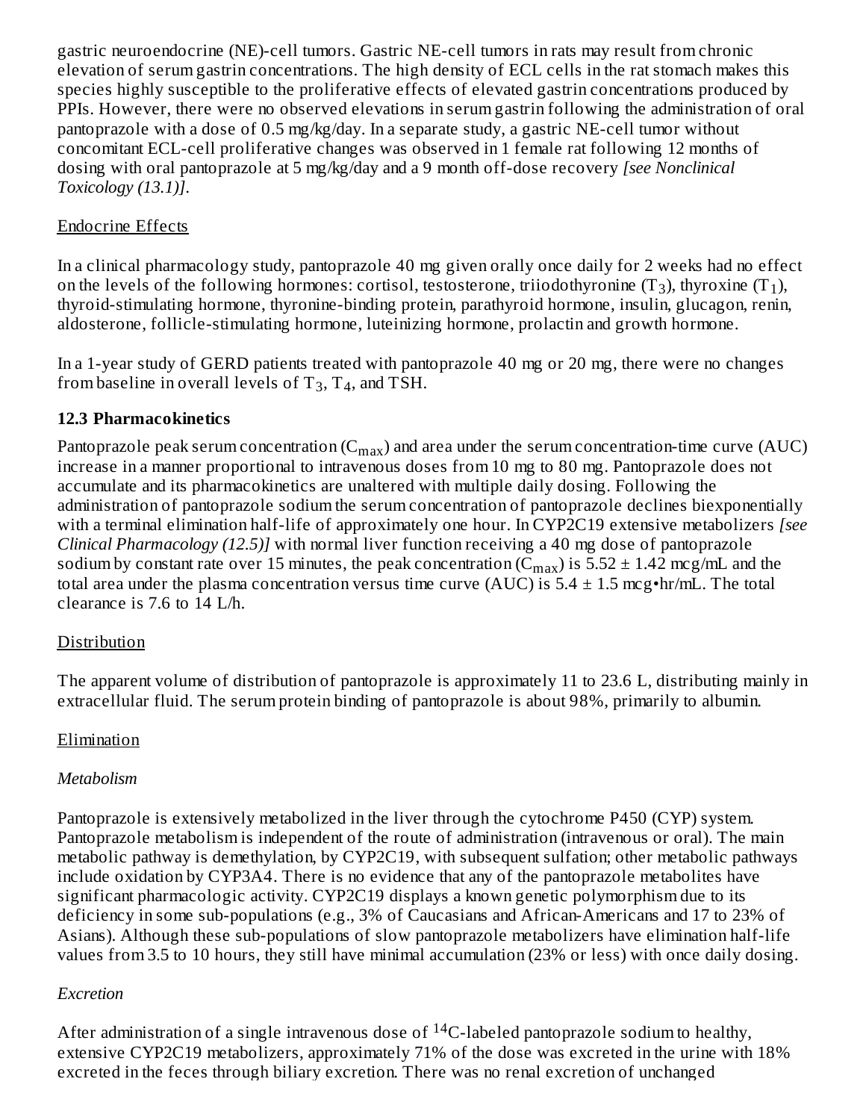gastric neuroendocrine (NE)-cell tumors. Gastric NE-cell tumors in rats may result from chronic elevation of serum gastrin concentrations. The high density of ECL cells in the rat stomach makes this species highly susceptible to the proliferative effects of elevated gastrin concentrations produced by PPIs. However, there were no observed elevations in serum gastrin following the administration of oral pantoprazole with a dose of 0.5 mg/kg/day. In a separate study, a gastric NE-cell tumor without concomitant ECL-cell proliferative changes was observed in 1 female rat following 12 months of dosing with oral pantoprazole at 5 mg/kg/day and a 9 month off-dose recovery *[see Nonclinical Toxicology (13.1)]*.

### Endocrine Effects

In a clinical pharmacology study, pantoprazole 40 mg given orally once daily for 2 weeks had no effect on the levels of the following hormones: cortisol, testosterone, triiodothyronine (T3), thyroxine (T<sub>1</sub>), thyroid-stimulating hormone, thyronine-binding protein, parathyroid hormone, insulin, glucagon, renin, aldosterone, follicle-stimulating hormone, luteinizing hormone, prolactin and growth hormone.

In a 1-year study of GERD patients treated with pantoprazole 40 mg or 20 mg, there were no changes from baseline in overall levels of  $T_3$ ,  $T_4$ , and TSH.

### **12.3 Pharmacokinetics**

Pantoprazole peak serum concentration ( $\rm{C_{max}}$ ) and area under the serum concentration-time curve (AUC) increase in a manner proportional to intravenous doses from 10 mg to 80 mg. Pantoprazole does not accumulate and its pharmacokinetics are unaltered with multiple daily dosing. Following the administration of pantoprazole sodium the serum concentration of pantoprazole declines biexponentially with a terminal elimination half-life of approximately one hour. In CYP2C19 extensive metabolizers *[see Clinical Pharmacology (12.5)]* with normal liver function receiving a 40 mg dose of pantoprazole sodium by constant rate over 15 minutes, the peak concentration (C $_{\rm max}$ ) is 5.52  $\pm$  1.42 mcg/mL and the total area under the plasma concentration versus time curve (AUC) is  $5.4 \pm 1.5$  mcg•hr/mL. The total clearance is 7.6 to 14 L/h.

### Distribution

The apparent volume of distribution of pantoprazole is approximately 11 to 23.6 L, distributing mainly in extracellular fluid. The serum protein binding of pantoprazole is about 98%, primarily to albumin.

# Elimination

### *Metabolism*

Pantoprazole is extensively metabolized in the liver through the cytochrome P450 (CYP) system. Pantoprazole metabolism is independent of the route of administration (intravenous or oral). The main metabolic pathway is demethylation, by CYP2C19, with subsequent sulfation; other metabolic pathways include oxidation by CYP3A4. There is no evidence that any of the pantoprazole metabolites have significant pharmacologic activity. CYP2C19 displays a known genetic polymorphism due to its deficiency in some sub-populations (e.g., 3% of Caucasians and African-Americans and 17 to 23% of Asians). Although these sub-populations of slow pantoprazole metabolizers have elimination half-life values from 3.5 to 10 hours, they still have minimal accumulation (23% or less) with once daily dosing.

### *Excretion*

After administration of a single intravenous dose of  $^{14}$ C-labeled pantoprazole sodium to healthy, extensive CYP2C19 metabolizers, approximately 71% of the dose was excreted in the urine with 18% excreted in the feces through biliary excretion. There was no renal excretion of unchanged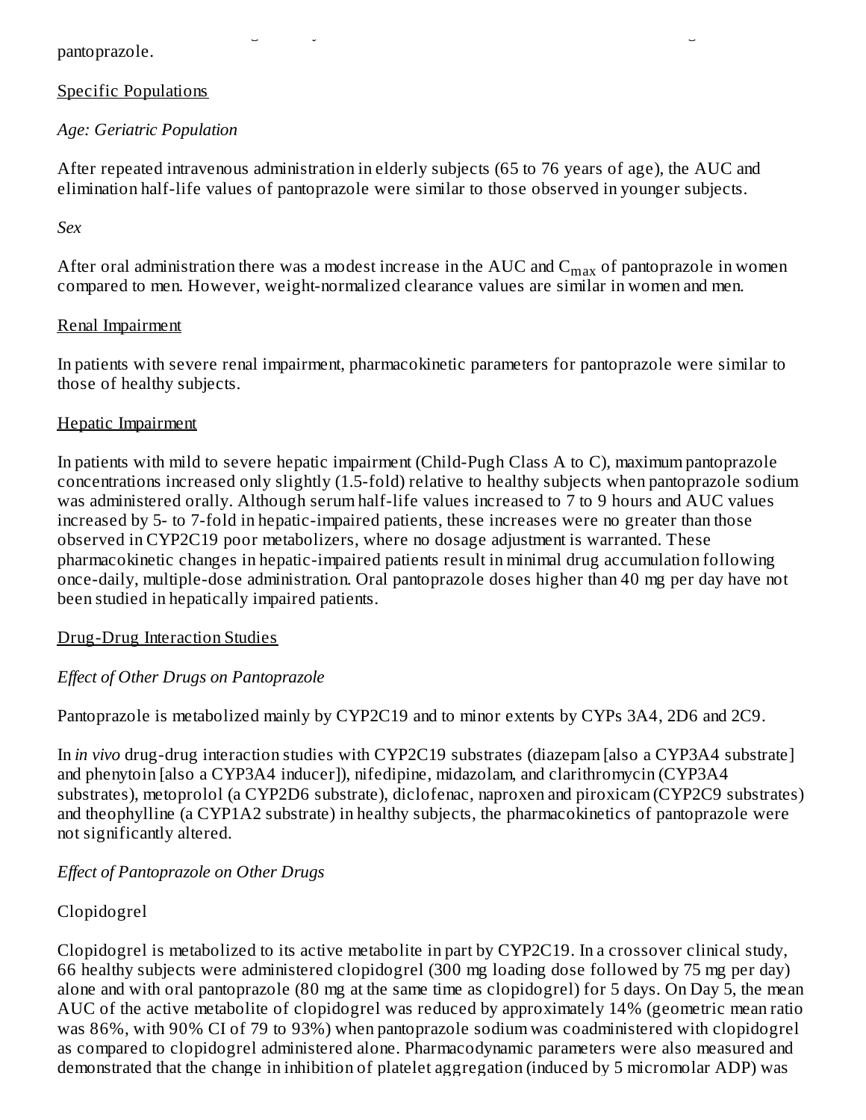pantoprazole.

#### Specific Populations

### *Age: Geriatric Population*

After repeated intravenous administration in elderly subjects (65 to 76 years of age), the AUC and elimination half-life values of pantoprazole were similar to those observed in younger subjects.

excreted in the feces through biliary excretion. There was no renal excretion of unchanged

#### *Sex*

After oral administration there was a modest increase in the AUC and  $\rm C_{max}$  of pantoprazole in women compared to men. However, weight-normalized clearance values are similar in women and men.

#### Renal Impairment

In patients with severe renal impairment, pharmacokinetic parameters for pantoprazole were similar to those of healthy subjects.

#### Hepatic Impairment

In patients with mild to severe hepatic impairment (Child-Pugh Class A to C), maximum pantoprazole concentrations increased only slightly (1.5-fold) relative to healthy subjects when pantoprazole sodium was administered orally. Although serum half-life values increased to 7 to 9 hours and AUC values increased by 5- to 7-fold in hepatic-impaired patients, these increases were no greater than those observed in CYP2C19 poor metabolizers, where no dosage adjustment is warranted. These pharmacokinetic changes in hepatic-impaired patients result in minimal drug accumulation following once-daily, multiple-dose administration. Oral pantoprazole doses higher than 40 mg per day have not been studied in hepatically impaired patients.

#### Drug-Drug Interaction Studies

#### *Effect of Other Drugs on Pantoprazole*

Pantoprazole is metabolized mainly by CYP2C19 and to minor extents by CYPs 3A4, 2D6 and 2C9.

In *in vivo* drug-drug interaction studies with CYP2C19 substrates (diazepam [also a CYP3A4 substrate] and phenytoin [also a CYP3A4 inducer]), nifedipine, midazolam, and clarithromycin (CYP3A4 substrates), metoprolol (a CYP2D6 substrate), diclofenac, naproxen and piroxicam (CYP2C9 substrates) and theophylline (a CYP1A2 substrate) in healthy subjects, the pharmacokinetics of pantoprazole were not significantly altered.

#### *Effect of Pantoprazole on Other Drugs*

### Clopidogrel

Clopidogrel is metabolized to its active metabolite in part by CYP2C19. In a crossover clinical study, 66 healthy subjects were administered clopidogrel (300 mg loading dose followed by 75 mg per day) alone and with oral pantoprazole (80 mg at the same time as clopidogrel) for 5 days. On Day 5, the mean AUC of the active metabolite of clopidogrel was reduced by approximately 14% (geometric mean ratio was 86%, with 90% CI of 79 to 93%) when pantoprazole sodium was coadministered with clopidogrel as compared to clopidogrel administered alone. Pharmacodynamic parameters were also measured and demonstrated that the change in inhibition of platelet aggregation (induced by 5 micromolar ADP) was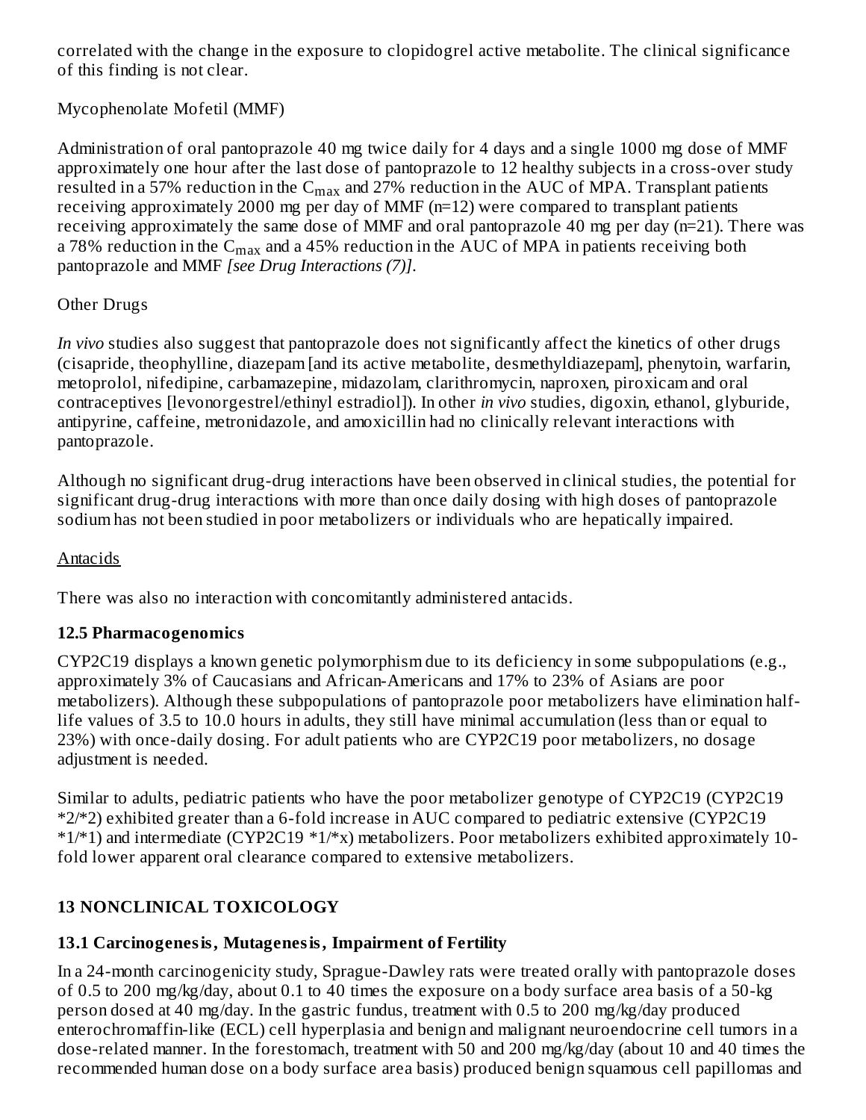correlated with the change in the exposure to clopidogrel active metabolite. The clinical significance of this finding is not clear.

# Mycophenolate Mofetil (MMF)

Administration of oral pantoprazole 40 mg twice daily for 4 days and a single 1000 mg dose of MMF approximately one hour after the last dose of pantoprazole to 12 healthy subjects in a cross-over study resulted in a 57% reduction in the  $\rm{C_{max}}$  and 27% reduction in the  $\rm{AUC}$  of MPA. Transplant patients receiving approximately 2000 mg per day of MMF (n=12) were compared to transplant patients receiving approximately the same dose of MMF and oral pantoprazole 40 mg per day (n=21). There was a 78% reduction in the  $\rm{C_{max}}$  and a 45% reduction in the  $\rm{AUC}$  of MPA in patients receiving both pantoprazole and MMF *[see Drug Interactions (7)]*.

### Other Drugs

*In vivo* studies also suggest that pantoprazole does not significantly affect the kinetics of other drugs (cisapride, theophylline, diazepam [and its active metabolite, desmethyldiazepam], phenytoin, warfarin, metoprolol, nifedipine, carbamazepine, midazolam, clarithromycin, naproxen, piroxicam and oral contraceptives [levonorgestrel/ethinyl estradiol]). In other *in vivo* studies, digoxin, ethanol, glyburide, antipyrine, caffeine, metronidazole, and amoxicillin had no clinically relevant interactions with pantoprazole.

Although no significant drug-drug interactions have been observed in clinical studies, the potential for significant drug-drug interactions with more than once daily dosing with high doses of pantoprazole sodium has not been studied in poor metabolizers or individuals who are hepatically impaired.

### Antacids

There was also no interaction with concomitantly administered antacids.

# **12.5 Pharmacogenomics**

CYP2C19 displays a known genetic polymorphism due to its deficiency in some subpopulations (e.g., approximately 3% of Caucasians and African-Americans and 17% to 23% of Asians are poor metabolizers). Although these subpopulations of pantoprazole poor metabolizers have elimination halflife values of 3.5 to 10.0 hours in adults, they still have minimal accumulation (less than or equal to 23%) with once-daily dosing. For adult patients who are CYP2C19 poor metabolizers, no dosage adjustment is needed.

Similar to adults, pediatric patients who have the poor metabolizer genotype of CYP2C19 (CYP2C19 \*2/\*2) exhibited greater than a 6-fold increase in AUC compared to pediatric extensive (CYP2C19 \*1/\*1) and intermediate (CYP2C19 \*1/\*x) metabolizers. Poor metabolizers exhibited approximately 10 fold lower apparent oral clearance compared to extensive metabolizers.

# **13 NONCLINICAL TOXICOLOGY**

# **13.1 Carcinogenesis, Mutagenesis, Impairment of Fertility**

In a 24-month carcinogenicity study, Sprague-Dawley rats were treated orally with pantoprazole doses of 0.5 to 200 mg/kg/day, about 0.1 to 40 times the exposure on a body surface area basis of a 50-kg person dosed at 40 mg/day. In the gastric fundus, treatment with 0.5 to 200 mg/kg/day produced enterochromaffin-like (ECL) cell hyperplasia and benign and malignant neuroendocrine cell tumors in a dose-related manner. In the forestomach, treatment with 50 and 200 mg/kg/day (about 10 and 40 times the recommended human dose on a body surface area basis) produced benign squamous cell papillomas and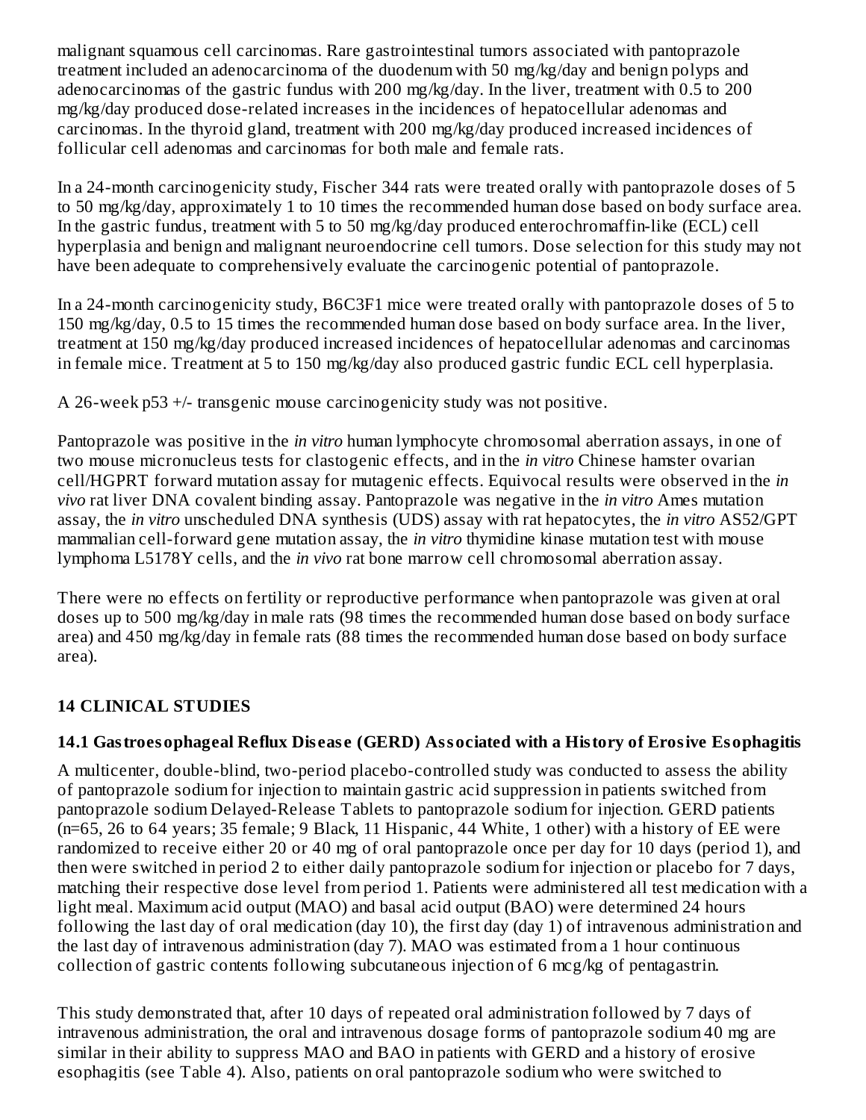malignant squamous cell carcinomas. Rare gastrointestinal tumors associated with pantoprazole treatment included an adenocarcinoma of the duodenum with 50 mg/kg/day and benign polyps and adenocarcinomas of the gastric fundus with 200 mg/kg/day. In the liver, treatment with 0.5 to 200 mg/kg/day produced dose-related increases in the incidences of hepatocellular adenomas and carcinomas. In the thyroid gland, treatment with 200 mg/kg/day produced increased incidences of follicular cell adenomas and carcinomas for both male and female rats.

In a 24-month carcinogenicity study, Fischer 344 rats were treated orally with pantoprazole doses of 5 to 50 mg/kg/day, approximately 1 to 10 times the recommended human dose based on body surface area. In the gastric fundus, treatment with 5 to 50 mg/kg/day produced enterochromaffin-like (ECL) cell hyperplasia and benign and malignant neuroendocrine cell tumors. Dose selection for this study may not have been adequate to comprehensively evaluate the carcinogenic potential of pantoprazole.

In a 24-month carcinogenicity study, B6C3F1 mice were treated orally with pantoprazole doses of 5 to 150 mg/kg/day, 0.5 to 15 times the recommended human dose based on body surface area. In the liver, treatment at 150 mg/kg/day produced increased incidences of hepatocellular adenomas and carcinomas in female mice. Treatment at 5 to 150 mg/kg/day also produced gastric fundic ECL cell hyperplasia.

A 26-week p53 +/- transgenic mouse carcinogenicity study was not positive.

Pantoprazole was positive in the *in vitro* human lymphocyte chromosomal aberration assays, in one of two mouse micronucleus tests for clastogenic effects, and in the *in vitro* Chinese hamster ovarian cell/HGPRT forward mutation assay for mutagenic effects. Equivocal results were observed in the *in vivo* rat liver DNA covalent binding assay. Pantoprazole was negative in the *in vitro* Ames mutation assay, the *in vitro* unscheduled DNA synthesis (UDS) assay with rat hepatocytes, the *in vitro* AS52/GPT mammalian cell-forward gene mutation assay, the *in vitro* thymidine kinase mutation test with mouse lymphoma L5178Y cells, and the *in vivo* rat bone marrow cell chromosomal aberration assay.

There were no effects on fertility or reproductive performance when pantoprazole was given at oral doses up to 500 mg/kg/day in male rats (98 times the recommended human dose based on body surface area) and 450 mg/kg/day in female rats (88 times the recommended human dose based on body surface area).

### **14 CLINICAL STUDIES**

### **14.1 Gastroesophageal Reflux Dis eas e (GERD) Associated with a History of Erosive Esophagitis**

A multicenter, double-blind, two-period placebo-controlled study was conducted to assess the ability of pantoprazole sodium for injection to maintain gastric acid suppression in patients switched from pantoprazole sodium Delayed-Release Tablets to pantoprazole sodium for injection. GERD patients (n=65, 26 to 64 years; 35 female; 9 Black, 11 Hispanic, 44 White, 1 other) with a history of EE were randomized to receive either 20 or 40 mg of oral pantoprazole once per day for 10 days (period 1), and then were switched in period 2 to either daily pantoprazole sodium for injection or placebo for 7 days, matching their respective dose level from period 1. Patients were administered all test medication with a light meal. Maximum acid output (MAO) and basal acid output (BAO) were determined 24 hours following the last day of oral medication (day 10), the first day (day 1) of intravenous administration and the last day of intravenous administration (day 7). MAO was estimated from a 1 hour continuous collection of gastric contents following subcutaneous injection of 6 mcg/kg of pentagastrin.

This study demonstrated that, after 10 days of repeated oral administration followed by 7 days of intravenous administration, the oral and intravenous dosage forms of pantoprazole sodium 40 mg are similar in their ability to suppress MAO and BAO in patients with GERD and a history of erosive esophagitis (see Table 4). Also, patients on oral pantoprazole sodium who were switched to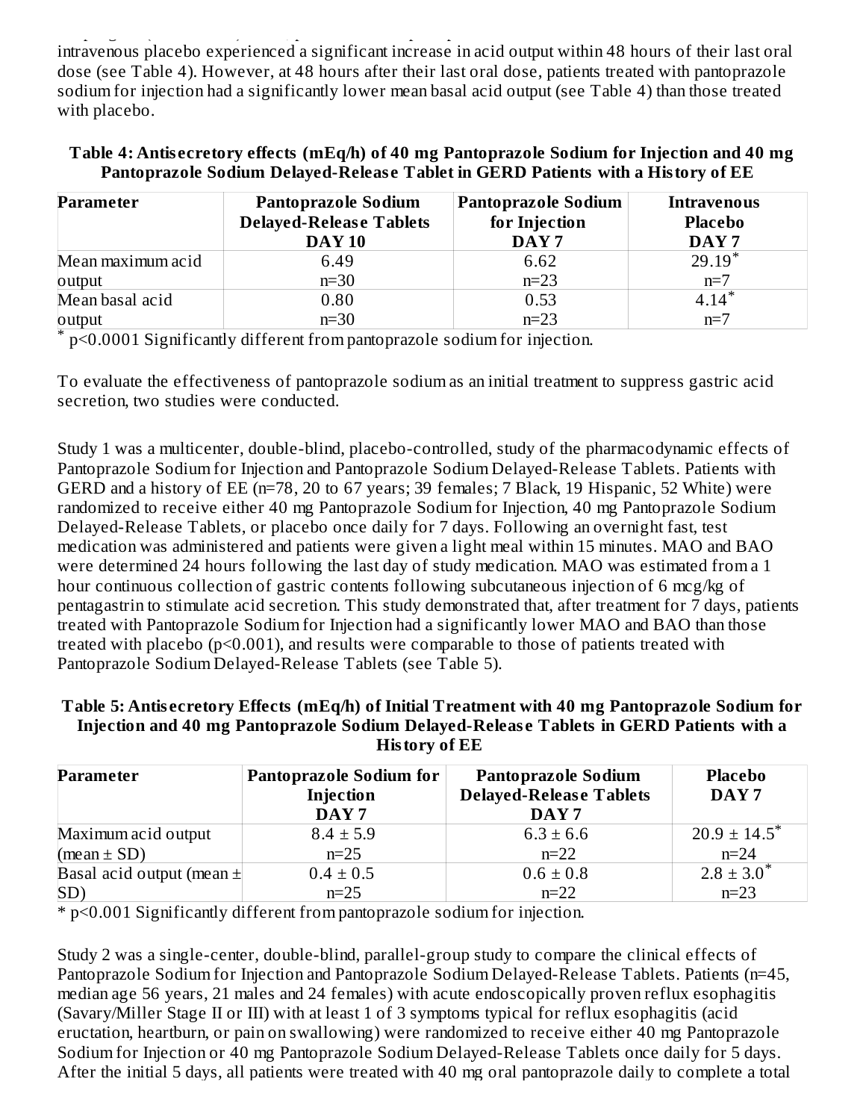esophagitis (see Table 4). Also, patients on oral pantoprazole sodium who were switched to intravenous placebo experienced a significant increase in acid output within 48 hours of their last oral dose (see Table 4). However, at 48 hours after their last oral dose, patients treated with pantoprazole sodium for injection had a significantly lower mean basal acid output (see Table 4) than those treated with placebo.

#### **Table 4: Antis ecretory effects (mEq/h) of 40 mg Pantoprazole Sodium for Injection and 40 mg Pantoprazole Sodium Delayed-Releas e Tablet in GERD Patients with a History of EE**

| <b>Parameter</b>  | <b>Pantoprazole Sodium</b><br><b>Delayed-Release Tablets</b><br><b>DAY 10</b> | <b>Pantoprazole Sodium</b><br>for Injection<br>DAY <sub>7</sub> | <b>Intravenous</b><br><b>Placebo</b><br>DAY <sub>7</sub> |
|-------------------|-------------------------------------------------------------------------------|-----------------------------------------------------------------|----------------------------------------------------------|
| Mean maximum acid | 6.49                                                                          | 6.62                                                            | $29.19*$                                                 |
| output            | $n=30$                                                                        | $n=23$                                                          | $n=7$                                                    |
| Mean basal acid   | 0.80                                                                          | 0.53                                                            | $4.14*$                                                  |
| output            | $n=30$                                                                        | $n=23$                                                          | $n=7$                                                    |

p<0.0001 Significantly different from pantoprazole sodium for injection. \*

To evaluate the effectiveness of pantoprazole sodium as an initial treatment to suppress gastric acid secretion, two studies were conducted.

Study 1 was a multicenter, double-blind, placebo-controlled, study of the pharmacodynamic effects of Pantoprazole Sodium for Injection and Pantoprazole Sodium Delayed-Release Tablets. Patients with GERD and a history of EE (n=78, 20 to 67 years; 39 females; 7 Black, 19 Hispanic, 52 White) were randomized to receive either 40 mg Pantoprazole Sodium for Injection, 40 mg Pantoprazole Sodium Delayed-Release Tablets, or placebo once daily for 7 days. Following an overnight fast, test medication was administered and patients were given a light meal within 15 minutes. MAO and BAO were determined 24 hours following the last day of study medication. MAO was estimated from a 1 hour continuous collection of gastric contents following subcutaneous injection of 6 mcg/kg of pentagastrin to stimulate acid secretion. This study demonstrated that, after treatment for 7 days, patients treated with Pantoprazole Sodium for Injection had a significantly lower MAO and BAO than those treated with placebo (p<0.001), and results were comparable to those of patients treated with Pantoprazole Sodium Delayed-Release Tablets (see Table 5).

#### **Table 5: Antis ecretory Effects (mEq/h) of Initial Treatment with 40 mg Pantoprazole Sodium for Injection and 40 mg Pantoprazole Sodium Delayed-Releas e Tablets in GERD Patients with a History of EE**

| <b>Parameter</b>              | <b>Pantoprazole Sodium for</b><br>Injection<br>DAY <sub>7</sub> | <b>Pantoprazole Sodium</b><br><b>Delayed-Release Tablets</b><br>DAY <sub>7</sub> | <b>Placebo</b><br>DAY <sub>7</sub> |
|-------------------------------|-----------------------------------------------------------------|----------------------------------------------------------------------------------|------------------------------------|
| Maximum acid output           | $8.4 \pm 5.9$                                                   | $6.3 \pm 6.6$                                                                    | $20.9 \pm 14.5^*$                  |
| (mean $\pm$ SD)               | $n=25$                                                          | $n=22$                                                                           | $n=24$                             |
| Basal acid output (mean $\pm$ | $0.4 \pm 0.5$                                                   | $0.6 \pm 0.8$                                                                    | $2.8 \pm 3.0^*$                    |
| SD                            | $n=25$                                                          | $n=22$                                                                           | $n=23$                             |

\* p<0.001 Significantly different from pantoprazole sodium for injection.

Study 2 was a single-center, double-blind, parallel-group study to compare the clinical effects of Pantoprazole Sodium for Injection and Pantoprazole Sodium Delayed-Release Tablets. Patients (n=45, median age 56 years, 21 males and 24 females) with acute endoscopically proven reflux esophagitis (Savary/Miller Stage II or III) with at least 1 of 3 symptoms typical for reflux esophagitis (acid eructation, heartburn, or pain on swallowing) were randomized to receive either 40 mg Pantoprazole Sodium for Injection or 40 mg Pantoprazole Sodium Delayed-Release Tablets once daily for 5 days. After the initial 5 days, all patients were treated with 40 mg oral pantoprazole daily to complete a total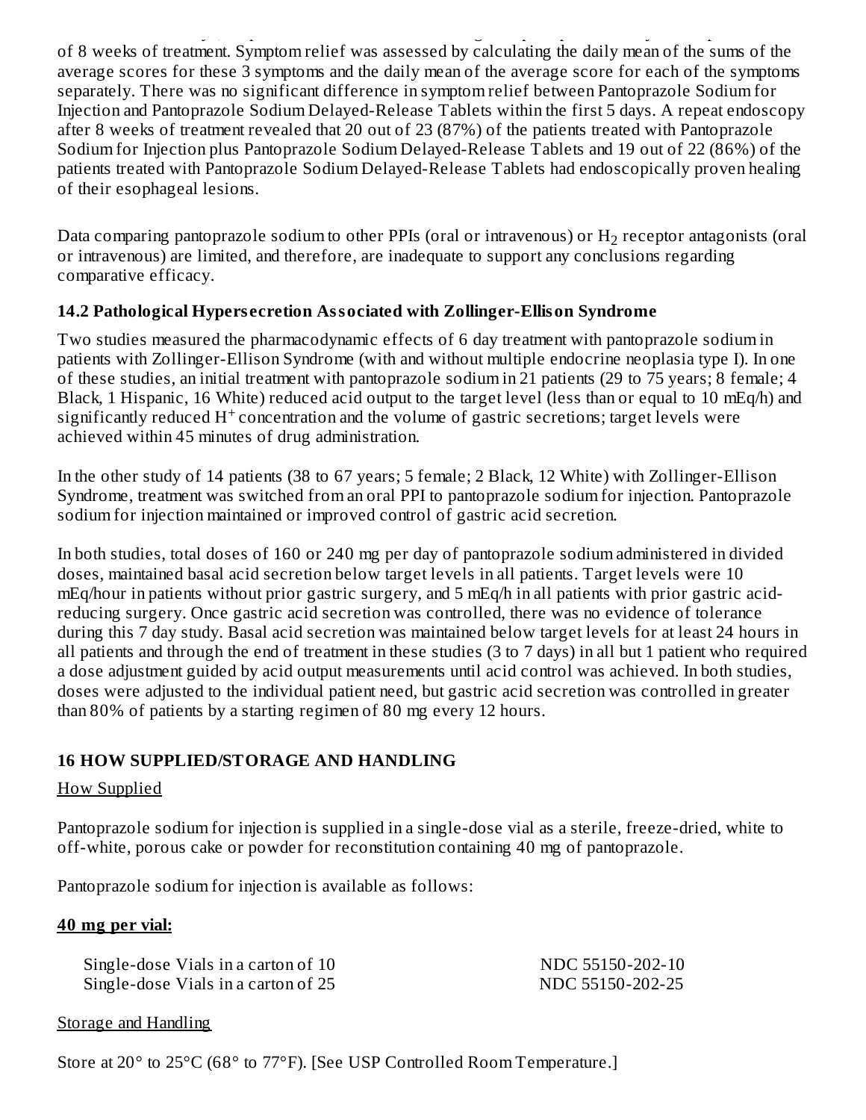After the initial 5 days, all patients were treated with 40 mg oral pantoprazole daily to complete a total of 8 weeks of treatment. Symptom relief was assessed by calculating the daily mean of the sums of the average scores for these 3 symptoms and the daily mean of the average score for each of the symptoms separately. There was no significant difference in symptom relief between Pantoprazole Sodium for Injection and Pantoprazole Sodium Delayed-Release Tablets within the first 5 days. A repeat endoscopy after 8 weeks of treatment revealed that 20 out of 23 (87%) of the patients treated with Pantoprazole Sodium for Injection plus Pantoprazole Sodium Delayed-Release Tablets and 19 out of 22 (86%) of the patients treated with Pantoprazole Sodium Delayed-Release Tablets had endoscopically proven healing of their esophageal lesions.

Data comparing pantoprazole sodium to other PPIs (oral or intravenous) or  $\rm H_{2}$  receptor antagonists (oral or intravenous) are limited, and therefore, are inadequate to support any conclusions regarding comparative efficacy.

### **14.2 Pathological Hypers ecretion Associated with Zollinger-Ellison Syndrome**

Two studies measured the pharmacodynamic effects of 6 day treatment with pantoprazole sodium in patients with Zollinger-Ellison Syndrome (with and without multiple endocrine neoplasia type I). In one of these studies, an initial treatment with pantoprazole sodium in 21 patients (29 to 75 years; 8 female; 4 Black, 1 Hispanic, 16 White) reduced acid output to the target level (less than or equal to 10 mEq/h) and significantly reduced  $H^+$  concentration and the volume of gastric secretions; target levels were achieved within 45 minutes of drug administration.

In the other study of 14 patients (38 to 67 years; 5 female; 2 Black, 12 White) with Zollinger-Ellison Syndrome, treatment was switched from an oral PPI to pantoprazole sodium for injection. Pantoprazole sodium for injection maintained or improved control of gastric acid secretion.

In both studies, total doses of 160 or 240 mg per day of pantoprazole sodium administered in divided doses, maintained basal acid secretion below target levels in all patients. Target levels were 10 mEq/hour in patients without prior gastric surgery, and 5 mEq/h in all patients with prior gastric acidreducing surgery. Once gastric acid secretion was controlled, there was no evidence of tolerance during this 7 day study. Basal acid secretion was maintained below target levels for at least 24 hours in all patients and through the end of treatment in these studies (3 to 7 days) in all but 1 patient who required a dose adjustment guided by acid output measurements until acid control was achieved. In both studies, doses were adjusted to the individual patient need, but gastric acid secretion was controlled in greater than 80% of patients by a starting regimen of 80 mg every 12 hours.

# **16 HOW SUPPLIED/STORAGE AND HANDLING**

### How Supplied

Pantoprazole sodium for injection is supplied in a single-dose vial as a sterile, freeze-dried, white to off-white, porous cake or powder for reconstitution containing 40 mg of pantoprazole.

Pantoprazole sodium for injection is available as follows:

# **40 mg per vial:**

| Single-dose Vials in a carton of 10 | NDC 55150-202-10 |
|-------------------------------------|------------------|
| Single-dose Vials in a carton of 25 | NDC 55150-202-25 |

#### Storage and Handling

Store at 20° to 25°C (68° to 77°F). [See USP Controlled Room Temperature.]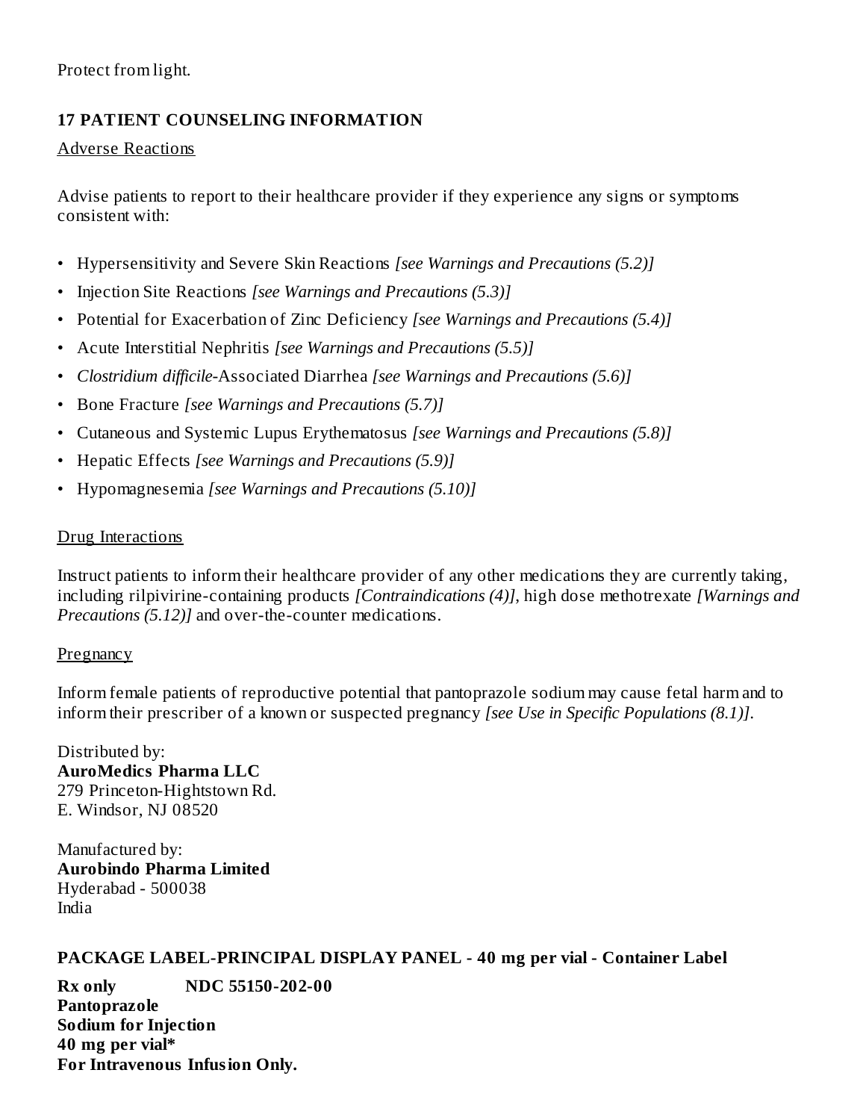# **17 PATIENT COUNSELING INFORMATION**

### Adverse Reactions

Advise patients to report to their healthcare provider if they experience any signs or symptoms consistent with:

- Hypersensitivity and Severe Skin Reactions *[see Warnings and Precautions (5.2)]*
- Injection Site Reactions *[see Warnings and Precautions (5.3)]*
- Potential for Exacerbation of Zinc Deficiency *[see Warnings and Precautions (5.4)]*
- Acute Interstitial Nephritis *[see Warnings and Precautions (5.5)]*
- *Clostridium difficile-*Associated Diarrhea *[see Warnings and Precautions (5.6)]*
- Bone Fracture *[see Warnings and Precautions (5.7)]*
- Cutaneous and Systemic Lupus Erythematosus *[see Warnings and Precautions (5.8)]*
- Hepatic Effects *[see Warnings and Precautions (5.9)]*
- Hypomagnesemia *[see Warnings and Precautions (5.10)]*

# Drug Interactions

Instruct patients to inform their healthcare provider of any other medications they are currently taking, including rilpivirine-containing products *[Contraindications (4)]*, high dose methotrexate *[Warnings and Precautions (5.12)]* and over-the-counter medications.

# **Pregnancy**

Inform female patients of reproductive potential that pantoprazole sodium may cause fetal harm and to inform their prescriber of a known or suspected pregnancy *[see Use in Specific Populations (8.1)]*.

Distributed by: **AuroMedics Pharma LLC** 279 Princeton-Hightstown Rd. E. Windsor, NJ 08520

Manufactured by: **Aurobindo Pharma Limited** Hyderabad - 500038 India

# **PACKAGE LABEL-PRINCIPAL DISPLAY PANEL - 40 mg per vial - Container Label**

**Rx only NDC 55150-202-00 Pantoprazole Sodium for Injection 40 mg per vial\* For Intravenous Infusion Only.**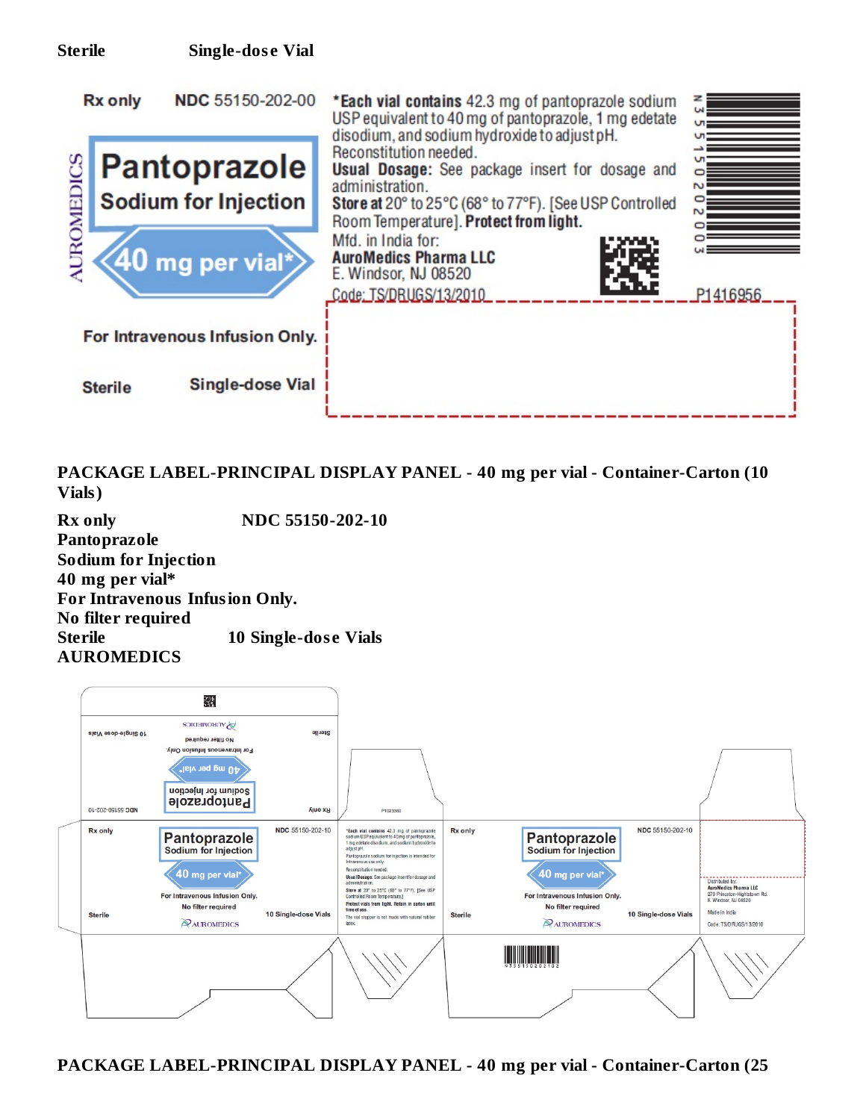

**PACKAGE LABEL-PRINCIPAL DISPLAY PANEL - 40 mg per vial - Container-Carton (10 Vials)**

**Rx only NDC 55150-202-10 Pantoprazole Sodium for Injection 40 mg per vial\* For Intravenous Infusion Only. No filter required Sterile 10 Single-dos e Vials AUROMEDICS**

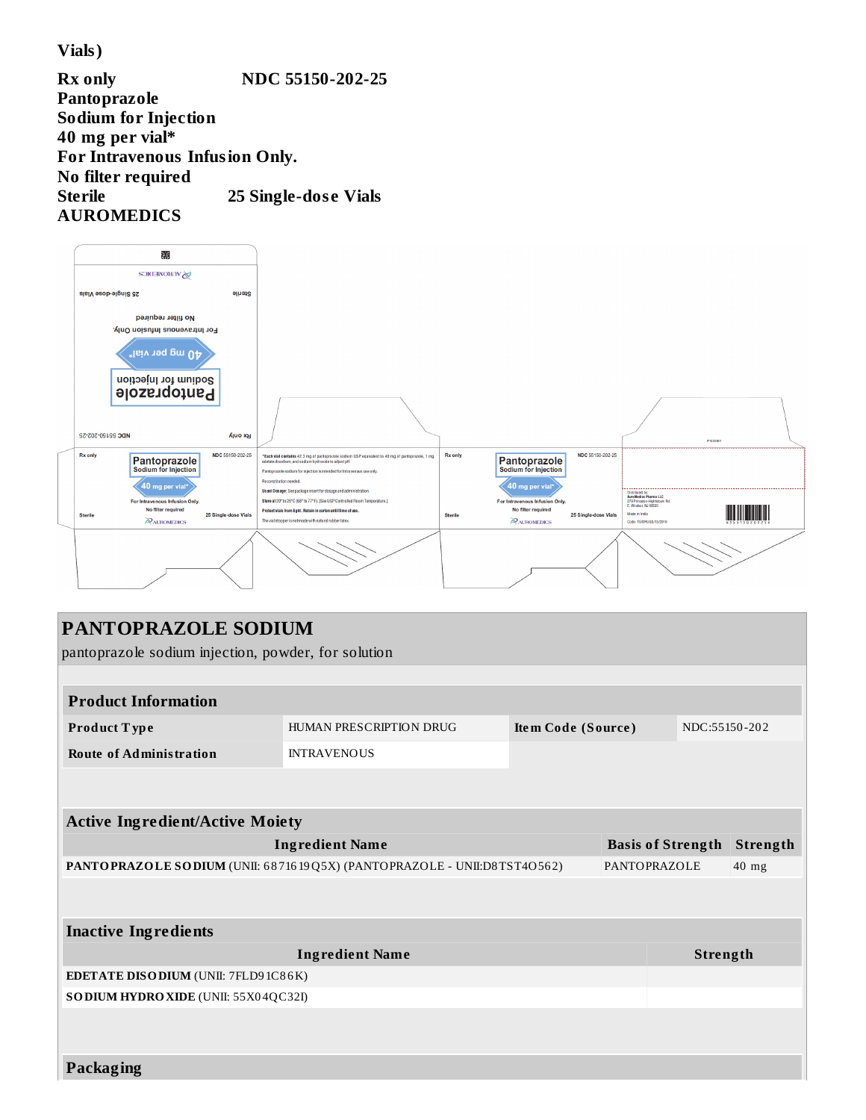**Vials)**

**Rx only NDC 55150-202-25 Pantoprazole Sodium for Injection 40 mg per vial\* For Intravenous Infusion Only. No filter required Sterile 25 Single-dos e Vials AUROMEDICS**



| PANTOPRAZOLE SODIUM                                 |                                                                         |                    |                          |               |          |  |
|-----------------------------------------------------|-------------------------------------------------------------------------|--------------------|--------------------------|---------------|----------|--|
| pantoprazole sodium injection, powder, for solution |                                                                         |                    |                          |               |          |  |
|                                                     |                                                                         |                    |                          |               |          |  |
| <b>Product Information</b>                          |                                                                         |                    |                          |               |          |  |
| Product Type                                        | HUMAN PRESCRIPTION DRUG                                                 | Item Code (Source) |                          | NDC:55150-202 |          |  |
| <b>Route of Administration</b>                      | <b>INTRAVENOUS</b>                                                      |                    |                          |               |          |  |
|                                                     |                                                                         |                    |                          |               |          |  |
|                                                     |                                                                         |                    |                          |               |          |  |
| <b>Active Ingredient/Active Moiety</b>              |                                                                         |                    |                          |               |          |  |
|                                                     | <b>Ingredient Name</b>                                                  |                    | <b>Basis of Strength</b> |               | Strength |  |
|                                                     | PANTOPRAZOLE SODIUM (UNII: 6871619Q5X) (PANTOPRAZOLE - UNII:D8TST4O562) |                    | <b>PANTOPRAZOLE</b>      |               | $40$ mg  |  |
|                                                     |                                                                         |                    |                          |               |          |  |
| <b>Inactive Ingredients</b>                         |                                                                         |                    |                          |               |          |  |
|                                                     | <b>Ingredient Name</b>                                                  |                    |                          | Strength      |          |  |
| <b>EDETATE DISODIUM</b> (UNII: 7FLD9 1C86K)         |                                                                         |                    |                          |               |          |  |
| SO DIUM HYDRO XIDE (UNII: 55X04QC32I)               |                                                                         |                    |                          |               |          |  |
|                                                     |                                                                         |                    |                          |               |          |  |
|                                                     |                                                                         |                    |                          |               |          |  |
| <b>Packaging</b>                                    |                                                                         |                    |                          |               |          |  |